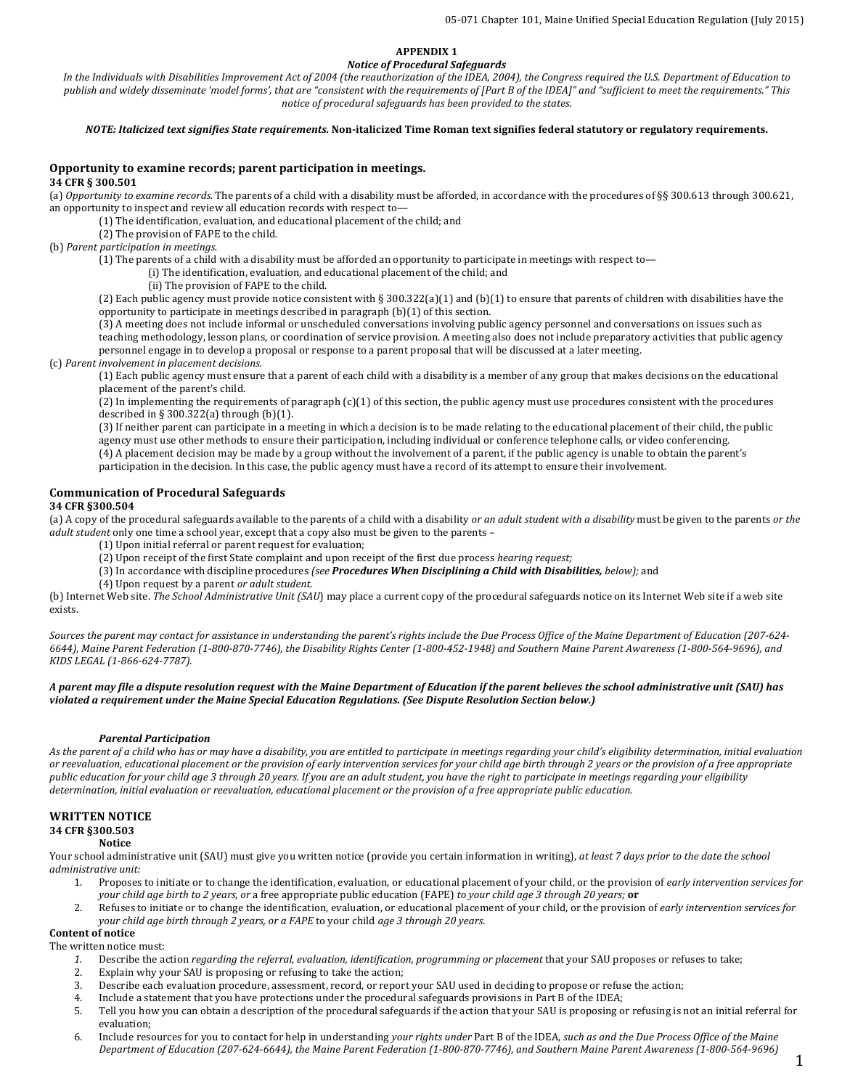#### **APPENDIX 1** *Notice of Procedural Safeguards*

In the Individuals with Disabilities Improvement Act of 2004 (the reauthorization of the IDEA, 2004), the Congress required the U.S. Department of Education to publish and widely disseminate 'model forms', that are "consistent with the requirements of [Part B of the IDEA]" and "sufficient to meet the requirements." This *notice of procedural safeguards has been provided to the states.* 

### *NOTE: Italicized text signifies State requirements.* Non-italicized Time Roman text signifies federal statutory or regulatory requirements.

# **Opportunity to examine records; parent participation in meetings.**

# **34 CFR § 300.501**

(a) *Opportunity to examine records*. The parents of a child with a disability must be afforded, in accordance with the procedures of §§ 300.613 through 300.621, an opportunity to inspect and review all education records with respect to—

(1) The identification, evaluation, and educational placement of the child; and

 $(2)$  The provision of FAPE to the child.

(b) Parent participation in meetings.

 $(1)$  The parents of a child with a disability must be afforded an opportunity to participate in meetings with respect to—

(i) The identification, evaluation, and educational placement of the child; and

(ii) The provision of FAPE to the child.

(2) Each public agency must provide notice consistent with § 300.322(a)(1) and (b)(1) to ensure that parents of children with disabilities have the opportunity to participate in meetings described in paragraph  $(b)(1)$  of this section.

(3) A meeting does not include informal or unscheduled conversations involving public agency personnel and conversations on issues such as teaching methodology, lesson plans, or coordination of service provision. A meeting also does not include preparatory activities that public agency personnel engage in to develop a proposal or response to a parent proposal that will be discussed at a later meeting.

(c) *Parent involvement in placement decisions.*

(1) Each public agency must ensure that a parent of each child with a disability is a member of any group that makes decisions on the educational placement of the parent's child.

(2) In implementing the requirements of paragraph (c)(1) of this section, the public agency must use procedures consistent with the procedures described in § 300.322(a) through  $(b)(1)$ .

(3) If neither parent can participate in a meeting in which a decision is to be made relating to the educational placement of their child, the public agency must use other methods to ensure their participation, including individual or conference telephone calls, or video conferencing. (4) A placement decision may be made by a group without the involvement of a parent, if the public agency is unable to obtain the parent's

participation in the decision. In this case, the public agency must have a record of its attempt to ensure their involvement.

# **Communication of Procedural Safeguards**

# **34 CFR §300.504**

(a) A copy of the procedural safeguards available to the parents of a child with a disability *or an adult student with a disability* must be given to the parents *or the adult student* only one time a school year, except that a copy also must be given to the parents -

(1) Upon initial referral or parent request for evaluation;

(2) Upon receipt of the first State complaint and upon receipt of the first due process *hearing request;* 

(3) In accordance with discipline procedures (see **Procedures When Disciplining a Child with Disabilities**, below); and

(4) Upon request by a parent *or adult student.*

(b) Internet Web site. The School Administrative Unit (SAU) may place a current copy of the procedural safeguards notice on its Internet Web site if a web site exists.

Sources the parent may contact for assistance in understanding the parent's rights include the Due Process Office of the Maine Department of Education (207-624-6644), Maine Parent Federation (1-800-870-7746), the Disability Rights Center (1-800-452-1948) and Southern Maine Parent Awareness (1-800-564-9696), and *KIDS LEGAL (1-866-624-7787).*

### *A* parent may file a dispute resolution request with the Maine Department of Education if the parent believes the school administrative unit (SAU) has *violated a requirement under the Maine Special Education Regulations. (See Dispute Resolution Section below.)*

### *Parental Participation*

As the parent of a child who has or may have a disability, you are entitled to participate in meetings regarding your child's eligibility determination, initial evaluation or reevaluation, educational placement or the provision of early intervention services for your child age birth through 2 years or the provision of a free appropriate public education for your child age 3 through 20 years. If you are an adult student, you have the right to participate in meetings regarding your eligibility determination, initial evaluation or reevaluation, educational placement or the provision of a free appropriate public education.

## **WRITTEN NOTICE**

# **34 CFR §300.503**

**Notice**

Your school administrative unit (SAU) must give you written notice (provide you certain information in writing), at least 7 days prior to the date the school *administrative unit:*

- 1. Proposes to initiate or to change the identification, evaluation, or educational placement of your child, or the provision of *early intervention services for your child age birth to 2 years, or* a free appropriate public education (FAPE) *to your child age 3 through 20 years;* **or**
- 2. Refuses to initiate or to change the identification, evaluation, or educational placement of your child, or the provision of *early intervention services* for *your* child age birth through 2 years, or a FAPE to your child age 3 through 20 years.

# **Content of notice**

The written notice must:

- 1. Describe the action *regarding the referral, evaluation, identification, programming or placement* that your SAU proposes or refuses to take;
- 2. Explain why your SAU is proposing or refusing to take the action;
- 3. Describe each evaluation procedure, assessment, record, or report your SAU used in deciding to propose or refuse the action;
- 4. Include a statement that you have protections under the procedural safeguards provisions in Part B of the IDEA;
- 5. Tell you how you can obtain a description of the procedural safeguards if the action that your SAU is proposing or refusing is not an initial referral for evaluation;
- 6. Include resources for you to contact for help in understanding *your rights under* Part B of the IDEA, *such as and the Due Process Office of the Maine Department of Education (207-624-6644), the Maine Parent Federation (1-800-870-7746), and Southern Maine Parent Awareness (1-800-564-9696)*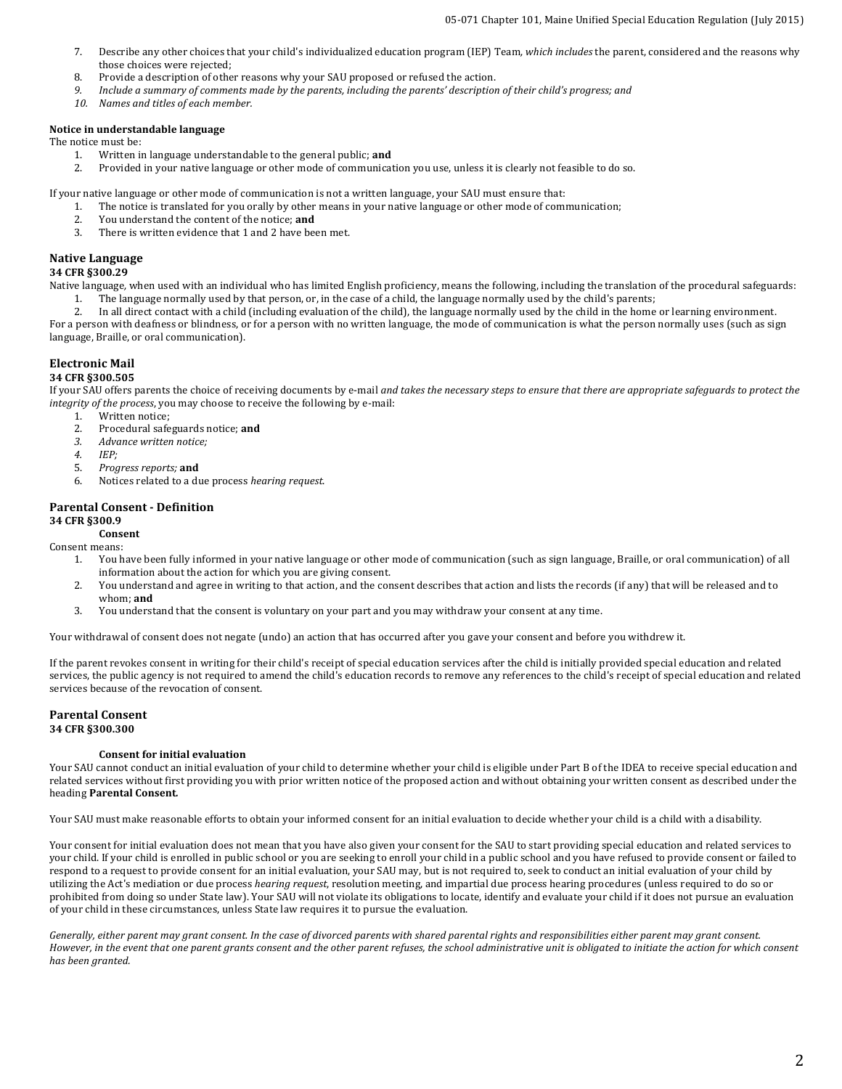- 7. Describe any other choices that your child's individualized education program (IEP) Team, which includes the parent, considered and the reasons why those choices were rejected;
- 8. Provide a description of other reasons why your SAU proposed or refused the action.
- 9. *Include a summary of comments made by the parents, including the parents' description of their child's progress; and*
- 10. Names and titles of each member.

### **Notice in understandable language**

The notice must be:

- 1. Written in language understandable to the general public; **and**
- 2. Provided in your native language or other mode of communication you use, unless it is clearly not feasible to do so.

If your native language or other mode of communication is not a written language, your SAU must ensure that:

- 1. The notice is translated for you orally by other means in your native language or other mode of communication;
- 2. You understand the content of the notice; and
- 3. There is written evidence that 1 and 2 have been met.

# **Native Language**

# **34 CFR §300.29**

Native language, when used with an individual who has limited English proficiency, means the following, including the translation of the procedural safeguards:

1. The language normally used by that person, or, in the case of a child, the language normally used by the child's parents;

In all direct contact with a child (including evaluation of the child), the language normally used by the child in the home or learning environment.

For a person with deafness or blindness, or for a person with no written language, the mode of communication is what the person normally uses (such as sign language, Braille, or oral communication).

# **Electronic Mail**

### **34 CFR §300.505**

If your SAU offers parents the choice of receiving documents by e-mail and takes the necessary steps to ensure that there are appropriate safeguards to protect the *integrity* of the process, you may choose to receive the following by e-mail:

- 1. Written notice;<br>2. Procedural safe
- Procedural safeguards notice; and
- 3. *Advance written notice;*<br>4. IEP;
- *4. IEP;*
- 5. *Progress reports;* and
- 6. Notices related to a due process *hearing request*.

### **Parental Consent - Definition 34 CFR §300.9**

#### **Consent**

Consent means:

- 1. You have been fully informed in your native language or other mode of communication (such as sign language, Braille, or oral communication) of all information about the action for which you are giving consent.
- 2. You understand and agree in writing to that action, and the consent describes that action and lists the records (if any) that will be released and to whom; and
- 3. You understand that the consent is voluntary on your part and you may withdraw your consent at any time.

Your withdrawal of consent does not negate (undo) an action that has occurred after you gave your consent and before you withdrew it.

If the parent revokes consent in writing for their child's receipt of special education services after the child is initially provided special education and related services, the public agency is not required to amend the child's education records to remove any references to the child's receipt of special education and related services because of the revocation of consent.

### **Parental Consent 34 CFR §300.300**

### **Consent for initial evaluation**

Your SAU cannot conduct an initial evaluation of your child to determine whether your child is eligible under Part B of the IDEA to receive special education and related services without first providing you with prior written notice of the proposed action and without obtaining your written consent as described under the heading **Parental Consent***.*

Your SAU must make reasonable efforts to obtain your informed consent for an initial evaluation to decide whether your child is a child with a disability.

Your consent for initial evaluation does not mean that you have also given your consent for the SAU to start providing special education and related services to your child. If your child is enrolled in public school or you are seeking to enroll your child in a public school and you have refused to provide consent or failed to respond to a request to provide consent for an initial evaluation, your SAU may, but is not required to, seek to conduct an initial evaluation of your child by utilizing the Act's mediation or due process *hearing request*, resolution meeting, and impartial due process hearing procedures (unless required to do so or prohibited from doing so under State law). Your SAU will not violate its obligations to locate, identify and evaluate your child if it does not pursue an evaluation of your child in these circumstances, unless State law requires it to pursue the evaluation.

Generally, either parent may grant consent. In the case of divorced parents with shared parental rights and responsibilities either parent may grant consent. However, in the event that one parent grants consent and the other parent refuses, the school administrative unit is obligated to initiate the action for which consent *has been granted.*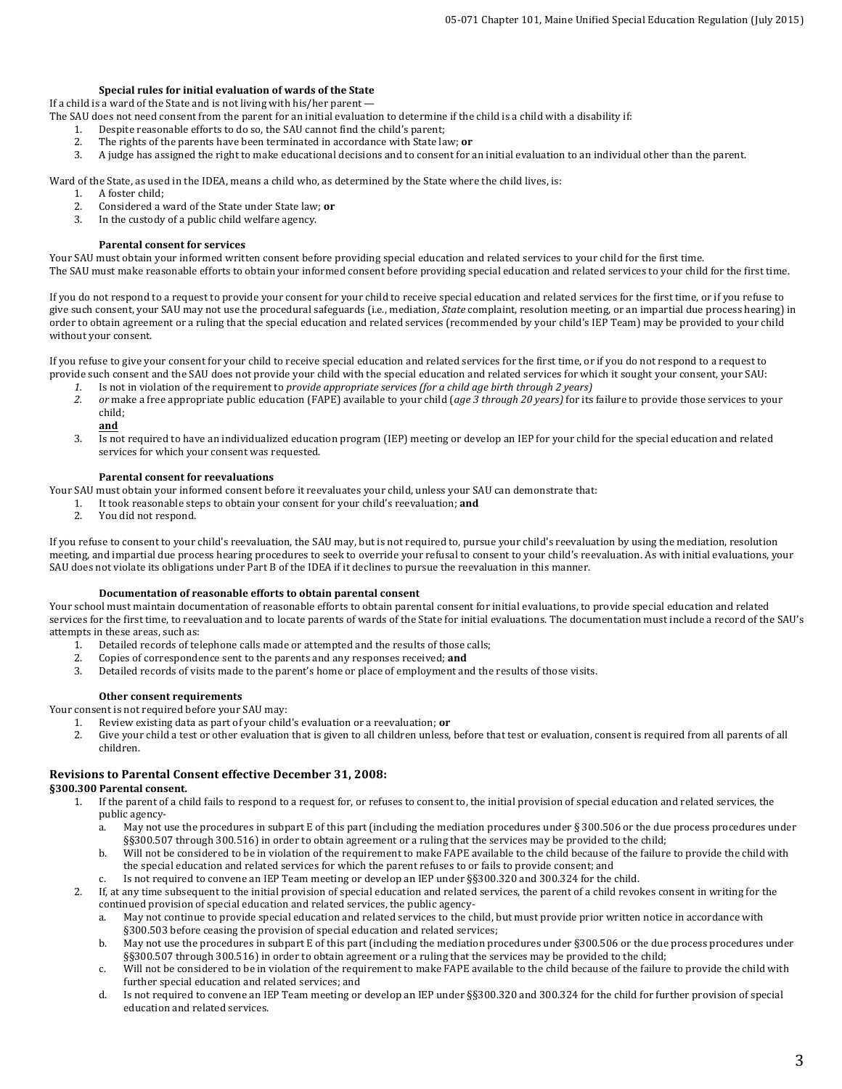### Special rules for initial evaluation of wards of the State

If a child is a ward of the State and is not living with his/her parent  $-$ 

The SAU does not need consent from the parent for an initial evaluation to determine if the child is a child with a disability if:

- 1. Despite reasonable efforts to do so, the SAU cannot find the child's parent;
- 2. The rights of the parents have been terminated in accordance with State law; or
- 3. A judge has assigned the right to make educational decisions and to consent for an initial evaluation to an individual other than the parent.

Ward of the State, as used in the IDEA, means a child who, as determined by the State where the child lives, is:

- $1$  A foster child:
- 2. Considered a ward of the State under State law; or
- 3. In the custody of a public child welfare agency.

### **Parental consent for services**

Your SAU must obtain your informed written consent before providing special education and related services to your child for the first time. The SAU must make reasonable efforts to obtain your informed consent before providing special education and related services to your child for the first time.

If you do not respond to a request to provide your consent for your child to receive special education and related services for the first time, or if you refuse to give such consent, your SAU may not use the procedural safeguards (i.e., mediation, *State* complaint, resolution meeting, or an impartial due process hearing) in order to obtain agreement or a ruling that the special education and related services (recommended by your child's IEP Team) may be provided to your child without your consent.

If you refuse to give your consent for your child to receive special education and related services for the first time, or if you do not respond to a request to provide such consent and the SAU does not provide your child with the special education and related services for which it sought your consent, your SAU:

- 1. Is not in violation of the requirement to *provide appropriate services (for a child age birth through 2 years)*
- 2. *or* make a free appropriate public education (FAPE) available to your child (*age 3 through 20 years*) for its failure to provide those services to your child;
	- **and**
- 3. Is not required to have an individualized education program (IEP) meeting or develop an IEP for your child for the special education and related services for which your consent was requested.

### **Parental consent for reevaluations**

- Your SAU must obtain your informed consent before it reevaluates your child, unless your SAU can demonstrate that:
	- 1. It took reasonable steps to obtain your consent for your child's reevaluation; **and**
	- 2. You did not respond.

If you refuse to consent to your child's reevaluation, the SAU may, but is not required to, pursue your child's reevaluation by using the mediation, resolution meeting, and impartial due process hearing procedures to seek to override your refusal to consent to your child's reevaluation. As with initial evaluations, your SAU does not violate its obligations under Part B of the IDEA if it declines to pursue the reevaluation in this manner.

### Documentation of reasonable efforts to obtain parental consent

Your school must maintain documentation of reasonable efforts to obtain parental consent for initial evaluations, to provide special education and related services for the first time, to reevaluation and to locate parents of wards of the State for initial evaluations. The documentation must include a record of the SAU's attempts in these areas, such as:

- 1. Detailed records of telephone calls made or attempted and the results of those calls;
- 2. Copies of correspondence sent to the parents and any responses received; and
- 3. Detailed records of visits made to the parent's home or place of employment and the results of those visits.

### **Other consent requirements**

Your consent is not required before your SAU may:

- 1. Review existing data as part of your child's evaluation or a reevaluation; **or**<br>2. Give your child a test or other evaluation that is given to all children unless
- Give your child a test or other evaluation that is given to all children unless, before that test or evaluation, consent is required from all parents of all children.

## **Revisions to Parental Consent effective December 31, 2008:**

### §300.300 Parental consent.

- 1. If the parent of a child fails to respond to a request for, or refuses to consent to, the initial provision of special education and related services, the public agency
	- a. May not use the procedures in subpart E of this part (including the mediation procedures under § 300.506 or the due process procedures under §§300.507 through 300.516) in order to obtain agreement or a ruling that the services may be provided to the child;
	- b. Will not be considered to be in violation of the requirement to make FAPE available to the child because of the failure to provide the child with the special education and related services for which the parent refuses to or fails to provide consent; and
	- c. Is not required to convene an IEP Team meeting or develop an IEP under §§300.320 and 300.324 for the child.
- 2. If, at any time subsequent to the initial provision of special education and related services, the parent of a child revokes consent in writing for the continued provision of special education and related services, the public agency
	- a. May not continue to provide special education and related services to the child, but must provide prior written notice in accordance with §300.503 before ceasing the provision of special education and related services;
	- b. May not use the procedures in subpart E of this part (including the mediation procedures under §300.506 or the due process procedures under  $\S$ §300.507 through 300.516) in order to obtain agreement or a ruling that the services may be provided to the child;
	- c. Will not be considered to be in violation of the requirement to make FAPE available to the child because of the failure to provide the child with further special education and related services; and
	- Is not required to convene an IEP Team meeting or develop an IEP under §§300.320 and 300.324 for the child for further provision of special education and related services.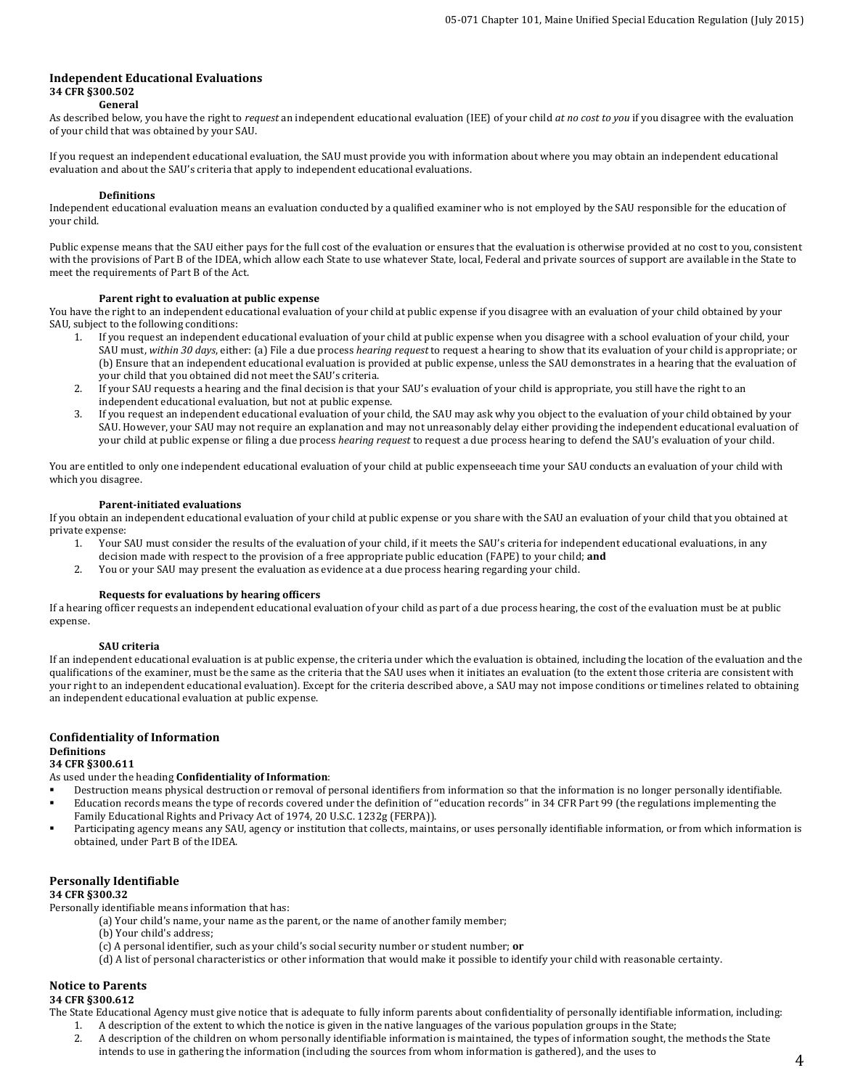### **Independent Educational Evaluations 34 CFR §300.502 General**

As described below, you have the right to *request* an independent educational evaluation (IEE) of your child *at no cost to you* if you disagree with the evaluation of your child that was obtained by your SAU.

If you request an independent educational evaluation, the SAU must provide you with information about where you may obtain an independent educational evaluation and about the SAU's criteria that apply to independent educational evaluations.

### **Definitions**

Independent educational evaluation means an evaluation conducted by a qualified examiner who is not employed by the SAU responsible for the education of your child.

Public expense means that the SAU either pays for the full cost of the evaluation or ensures that the evaluation is otherwise provided at no cost to you, consistent with the provisions of Part B of the IDEA, which allow each State to use whatever State, local, Federal and private sources of support are available in the State to meet the requirements of Part B of the Act.

### Parent right to evaluation at public expense

You have the right to an independent educational evaluation of your child at public expense if you disagree with an evaluation of your child obtained by your SAU, subject to the following conditions:

- 1. If you request an independent educational evaluation of your child at public expense when you disagree with a school evaluation of your child, your SAU must, within 30 days, either: (a) File a due process *hearing request* to request a hearing to show that its evaluation of your child is appropriate; or (b) Ensure that an independent educational evaluation is provided at public expense, unless the SAU demonstrates in a hearing that the evaluation of your child that you obtained did not meet the SAU's criteria.
- 2. If your SAU requests a hearing and the final decision is that your SAU's evaluation of your child is appropriate, you still have the right to an independent educational evaluation, but not at public expense.
- 3. If you request an independent educational evaluation of your child, the SAU may ask why you object to the evaluation of your child obtained by your SAU. However, your SAU may not require an explanation and may not unreasonably delay either providing the independent educational evaluation of your child at public expense or filing a due process *hearing request* to request a due process hearing to defend the SAU's evaluation of your child.

You are entitled to only one independent educational evaluation of your child at public expenseeach time your SAU conducts an evaluation of your child with which you disagree.

### **Parent-initiated evaluations**

If you obtain an independent educational evaluation of your child at public expense or you share with the SAU an evaluation of your child that you obtained at private expense:

- 1. Your SAU must consider the results of the evaluation of your child, if it meets the SAU's criteria for independent educational evaluations, in any decision made with respect to the provision of a free appropriate public education (FAPE) to your child; **and**
- 2. You or your SAU may present the evaluation as evidence at a due process hearing regarding your child.

### **Requests for evaluations by hearing officers**

If a hearing officer requests an independent educational evaluation of your child as part of a due process hearing, the cost of the evaluation must be at public expense.

### **SAU criteria**

If an independent educational evaluation is at public expense, the criteria under which the evaluation is obtained, including the location of the evaluation and the qualifications of the examiner, must be the same as the criteria that the SAU uses when it initiates an evaluation (to the extent those criteria are consistent with your right to an independent educational evaluation). Except for the criteria described above, a SAU may not impose conditions or timelines related to obtaining an independent educational evaluation at public expense.

## **Confidentiality of Information**

# **Definitions**

# **34 CFR §300.611**

As used under the heading **Confidentiality of Information**:

- Destruction means physical destruction or removal of personal identifiers from information so that the information is no longer personally identifiable. Education records means the type of records covered under the definition of "education records" in 34 CFR Part 99 (the regulations implementing the Family Educational Rights and Privacy Act of 1974, 20 U.S.C. 1232g (FERPA)).
- Participating agency means any SAU, agency or institution that collects, maintains, or uses personally identifiable information, or from which information is obtained, under Part B of the IDEA.

## **Personally Identifiable**

### **34 CFR §300.32**

Personally identifiable means information that has:

(a) Your child's name, your name as the parent, or the name of another family member;

- (b) Your child's address;
- (c) A personal identifier, such as your child's social security number or student number; or
- (d) A list of personal characteristics or other information that would make it possible to identify your child with reasonable certainty.

### **Notice to Parents**

# **34 CFR §300.612**

The State Educational Agency must give notice that is adequate to fully inform parents about confidentiality of personally identifiable information, including:

- 1. A description of the extent to which the notice is given in the native languages of the various population groups in the State;
- 2. A description of the children on whom personally identifiable information is maintained, the types of information sought, the methods the State intends to use in gathering the information (including the sources from whom information is gathered), and the uses to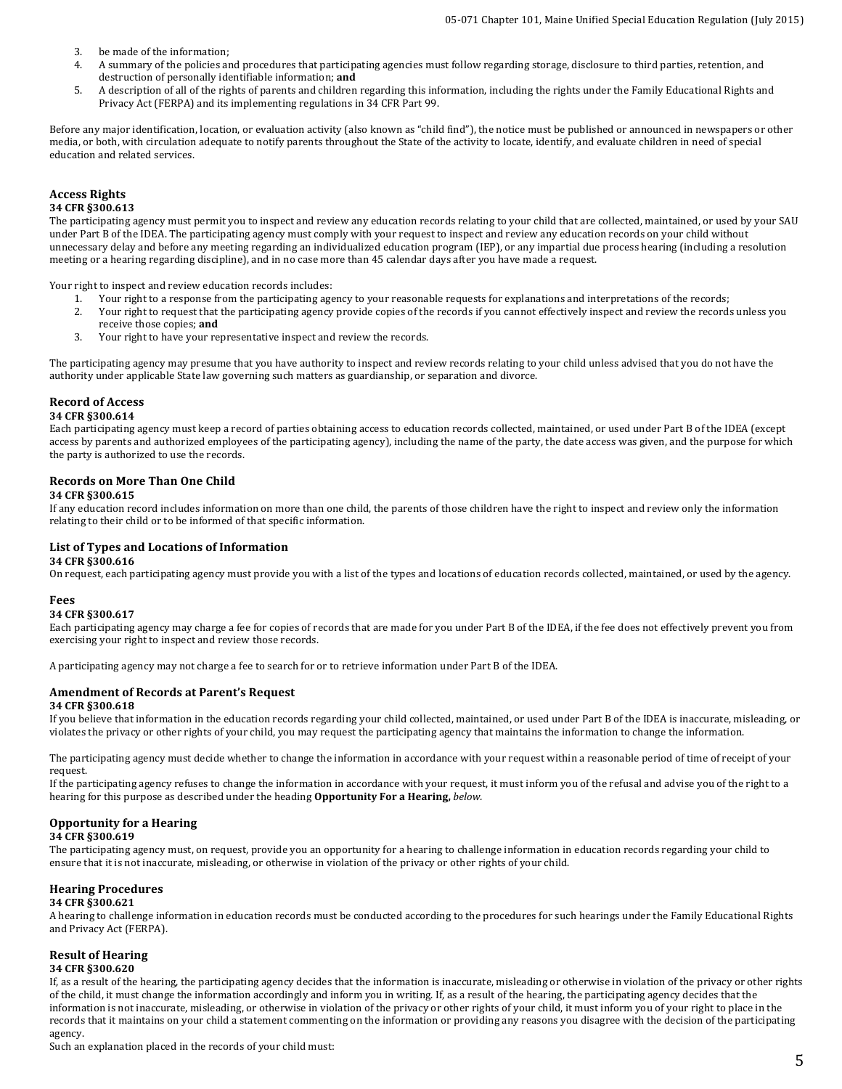- 3. be made of the information:
- 4. A summary of the policies and procedures that participating agencies must follow regarding storage, disclosure to third parties, retention, and destruction of personally identifiable information; and
- 5. A description of all of the rights of parents and children regarding this information, including the rights under the Family Educational Rights and Privacy Act (FERPA) and its implementing regulations in 34 CFR Part 99.

Before any major identification, location, or evaluation activity (also known as "child find"), the notice must be published or announced in newspapers or other media, or both, with circulation adequate to notify parents throughout the State of the activity to locate, identify, and evaluate children in need of special education and related services.

# **Access Rights**

# **34 CFR §300.613**

The participating agency must permit you to inspect and review any education records relating to your child that are collected, maintained, or used by your SAU under Part B of the IDEA. The participating agency must comply with your request to inspect and review any education records on your child without unnecessary delay and before any meeting regarding an individualized education program (IEP), or any impartial due process hearing (including a resolution meeting or a hearing regarding discipline), and in no case more than 45 calendar days after you have made a request.

Your right to inspect and review education records includes:

- 1. Your right to a response from the participating agency to your reasonable requests for explanations and interpretations of the records;
- 2. Your right to request that the participating agency provide copies of the records if you cannot effectively inspect and review the records unless you receive those copies; and
- 3. Your right to have your representative inspect and review the records.

The participating agency may presume that you have authority to inspect and review records relating to your child unless advised that you do not have the authority under applicable State law governing such matters as guardianship, or separation and divorce.

## **Record of Access**

### **34 CFR §300.614**

Each participating agency must keep a record of parties obtaining access to education records collected, maintained, or used under Part B of the IDEA (except access by parents and authorized employees of the participating agency), including the name of the party, the date access was given, and the purpose for which the party is authorized to use the records.

# **Records on More Than One Child**

# **34 CFR §300.615**

If any education record includes information on more than one child, the parents of those children have the right to inspect and review only the information relating to their child or to be informed of that specific information.

# List of Types and Locations of Information

### **34 CFR §300.616**

On request, each participating agency must provide you with a list of the types and locations of education records collected, maintained, or used by the agency.

### **Fees**

### **34 CFR §300.617**

Each participating agency may charge a fee for copies of records that are made for you under Part B of the IDEA, if the fee does not effectively prevent you from exercising your right to inspect and review those records.

A participating agency may not charge a fee to search for or to retrieve information under Part B of the IDEA.

## Amendment of Records at Parent's Request

### **34 CFR §300.618**

If you believe that information in the education records regarding your child collected, maintained, or used under Part B of the IDEA is inaccurate, misleading, or violates the privacy or other rights of your child, you may request the participating agency that maintains the information to change the information.

The participating agency must decide whether to change the information in accordance with your request within a reasonable period of time of receipt of your request.

If the participating agency refuses to change the information in accordance with your request, it must inform you of the refusal and advise you of the right to a hearing for this purpose as described under the heading **Opportunity For a Hearing**, below.

# **Opportunity for a Hearing**

### **34 CFR §300.619**

The participating agency must, on request, provide you an opportunity for a hearing to challenge information in education records regarding your child to ensure that it is not inaccurate, misleading, or otherwise in violation of the privacy or other rights of your child.

# **Hearing Procedures**

### **34 CFR §300.621**

A hearing to challenge information in education records must be conducted according to the procedures for such hearings under the Family Educational Rights and Privacy Act (FERPA).

# **Result of Hearing**

**34 CFR §300.620**

If, as a result of the hearing, the participating agency decides that the information is inaccurate, misleading or otherwise in violation of the privacy or other rights of the child, it must change the information accordingly and inform you in writing. If, as a result of the hearing, the participating agency decides that the information is not inaccurate, misleading, or otherwise in violation of the privacy or other rights of your child, it must inform you of your right to place in the records that it maintains on your child a statement commenting on the information or providing any reasons you disagree with the decision of the participating agency.

Such an explanation placed in the records of your child must: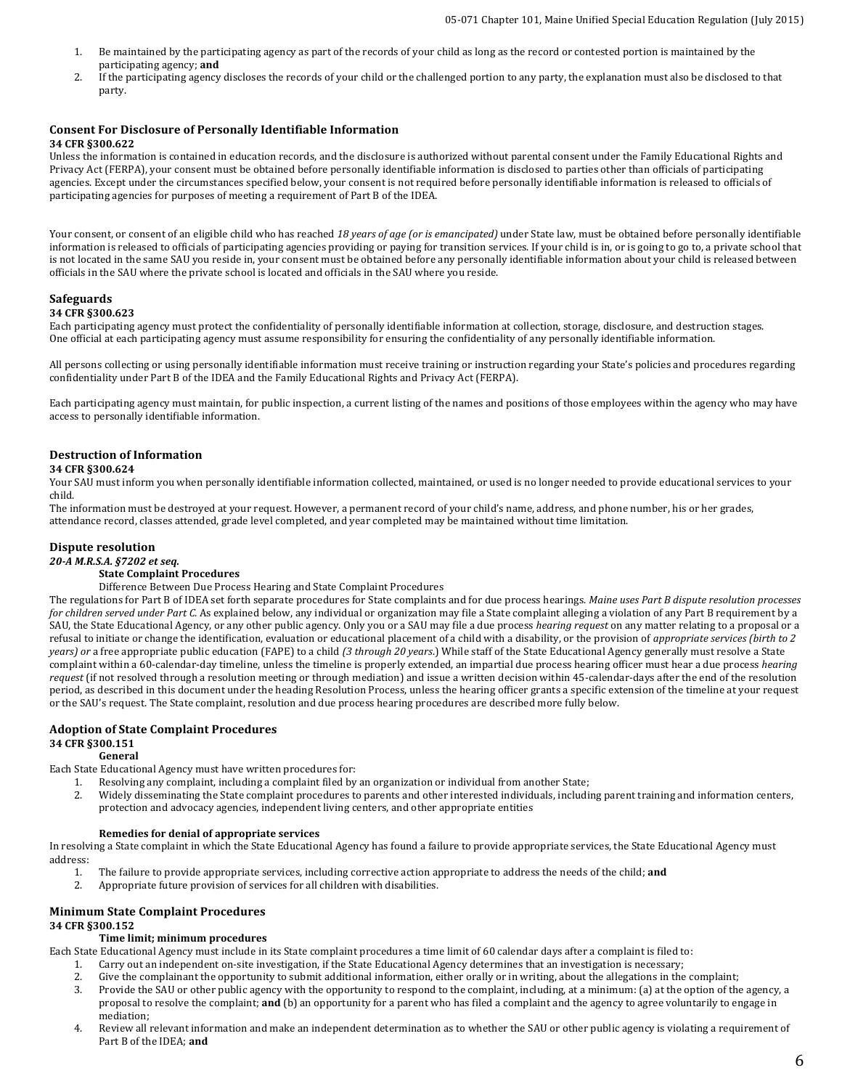- 1. Be maintained by the participating agency as part of the records of your child as long as the record or contested portion is maintained by the participating agency; **and**
- 2. If the participating agency discloses the records of your child or the challenged portion to any party, the explanation must also be disclosed to that party.

# **Consent For Disclosure of Personally Identifiable Information**

# **34 CFR §300.622**

Unless the information is contained in education records, and the disclosure is authorized without parental consent under the Family Educational Rights and Privacy Act (FERPA), your consent must be obtained before personally identifiable information is disclosed to parties other than officials of participating agencies. Except under the circumstances specified below, your consent is not required before personally identifiable information is released to officials of participating agencies for purposes of meeting a requirement of Part B of the IDEA.

Your consent, or consent of an eligible child who has reached 18 years of age (or is emancipated) under State law, must be obtained before personally identifiable information is released to officials of participating agencies providing or paying for transition services. If your child is in, or is going to go to, a private school that is not located in the same SAU you reside in, your consent must be obtained before any personally identifiable information about your child is released between officials in the SAU where the private school is located and officials in the SAU where you reside.

# **Safeguards**

### **34 CFR §300.623**

Each participating agency must protect the confidentiality of personally identifiable information at collection, storage, disclosure, and destruction stages. One official at each participating agency must assume responsibility for ensuring the confidentiality of any personally identifiable information.

All persons collecting or using personally identifiable information must receive training or instruction regarding your State's policies and procedures regarding confidentiality under Part B of the IDEA and the Family Educational Rights and Privacy Act (FERPA).

Each participating agency must maintain, for public inspection, a current listing of the names and positions of those employees within the agency who may have access to personally identifiable information.

# **Destruction of Information**

### **34 CFR §300.624**

Your SAU must inform you when personally identifiable information collected, maintained, or used is no longer needed to provide educational services to your child.

The information must be destroyed at your request. However, a permanent record of your child's name, address, and phone number, his or her grades, attendance record, classes attended, grade level completed, and year completed may be maintained without time limitation.

## **Dispute resolution**

# *20-A M.R.S.A. §7202 et seq.*

# **State Complaint Procedures**

Difference Between Due Process Hearing and State Complaint Procedures

The regulations for Part B of IDEA set forth separate procedures for State complaints and for due process hearings. *Maine uses Part B dispute resolution processes for children served under Part C.* As explained below, any individual or organization may file a State complaint alleging a violation of any Part B requirement by a SAU, the State Educational Agency, or any other public agency. Only you or a SAU may file a due process *hearing request* on any matter relating to a proposal or a refusal to initiate or change the identification, evaluation or educational placement of a child with a disability, or the provision of appropriate services (birth to 2 years) or a free appropriate public education (FAPE) to a child (3 through 20 years.) While staff of the State Educational Agency generally must resolve a State complaint within a 60-calendar-day timeline, unless the timeline is properly extended, an impartial due process hearing officer must hear a due process hearing request (if not resolved through a resolution meeting or through mediation) and issue a written decision within 45-calendar-days after the end of the resolution period, as described in this document under the heading Resolution Process, unless the hearing officer grants a specific extension of the timeline at your request or the SAU's request. The State complaint, resolution and due process hearing procedures are described more fully below.

# **Adoption of State Complaint Procedures**

# **34 CFR §300.151**

**General**

Each State Educational Agency must have written procedures for:

- 1. Resolving any complaint, including a complaint filed by an organization or individual from another State;
- 2. Widely disseminating the State complaint procedures to parents and other interested individuals, including parent training and information centers, protection and advocacy agencies, independent living centers, and other appropriate entities

### **Remedies for denial of appropriate services**

In resolving a State complaint in which the State Educational Agency has found a failure to provide appropriate services, the State Educational Agency must address:

- 1. The failure to provide appropriate services, including corrective action appropriate to address the needs of the child; **and**
- 2. Appropriate future provision of services for all children with disabilities.

# **Minimum State Complaint Procedures**

# **34 CFR §300.152**

# **Time limit; minimum procedures**

Each State Educational Agency must include in its State complaint procedures a time limit of 60 calendar days after a complaint is filed to:

- 1. Carry out an independent on-site investigation, if the State Educational Agency determines that an investigation is necessary;
- 2. Give the complainant the opportunity to submit additional information, either orally or in writing, about the allegations in the complaint;
- 3. Provide the SAU or other public agency with the opportunity to respond to the complaint, including, at a minimum: (a) at the option of the agency, a proposal to resolve the complaint; **and** (b) an opportunity for a parent who has filed a complaint and the agency to agree voluntarily to engage in mediation;
- 4. Review all relevant information and make an independent determination as to whether the SAU or other public agency is violating a requirement of Part B of the IDEA; and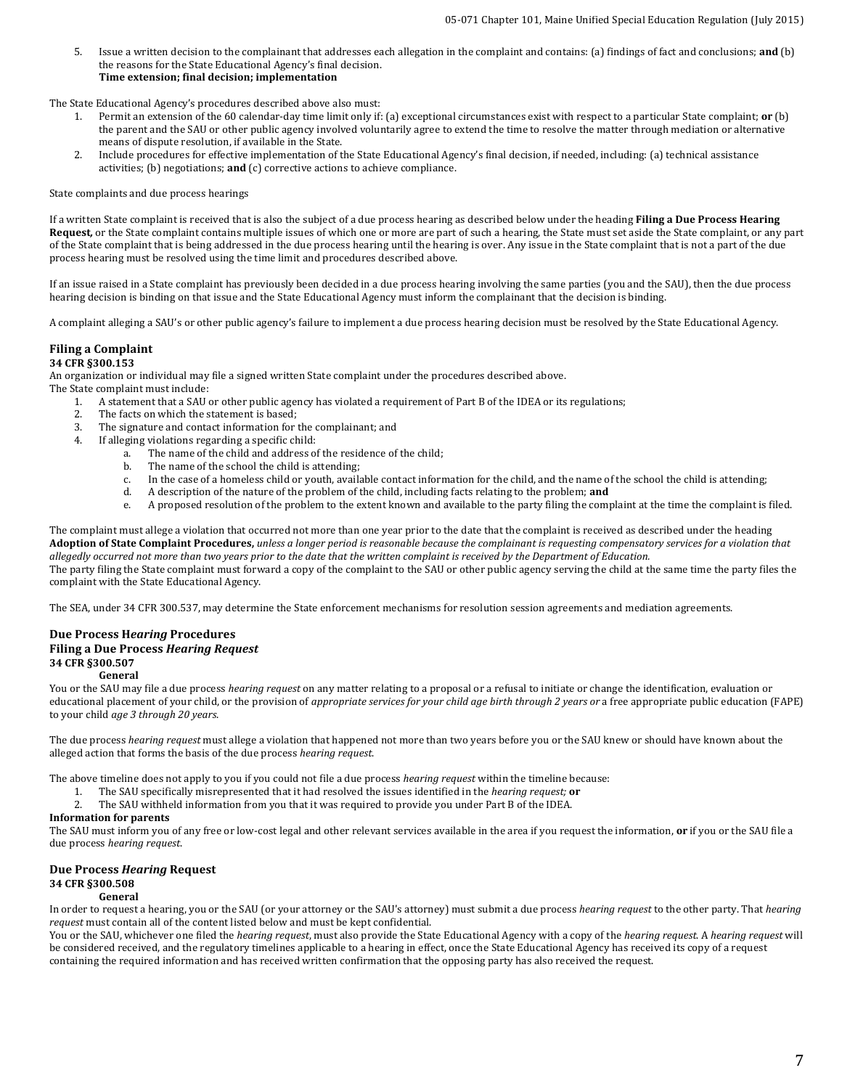5. Issue a written decision to the complainant that addresses each allegation in the complaint and contains: (a) findings of fact and conclusions; and (b) the reasons for the State Educational Agency's final decision. Time extension; final decision; implementation

The State Educational Agency's procedures described above also must:

- 1. Permit an extension of the 60 calendar-day time limit only if: (a) exceptional circumstances exist with respect to a particular State complaint; or (b) the parent and the SAU or other public agency involved voluntarily agree to extend the time to resolve the matter through mediation or alternative means of dispute resolution, if available in the State.
- 2. Include procedures for effective implementation of the State Educational Agency's final decision, if needed, including: (a) technical assistance activities; (b) negotiations; **and** (c) corrective actions to achieve compliance.

### State complaints and due process hearings

If a written State complaint is received that is also the subject of a due process hearing as described below under the heading Filing a Due Process Hearing **Request**, or the State complaint contains multiple issues of which one or more are part of such a hearing, the State must set aside the State complaint, or any part of the State complaint that is being addressed in the due process hearing until the hearing is over. Any issue in the State complaint that is not a part of the due process hearing must be resolved using the time limit and procedures described above.

If an issue raised in a State complaint has previously been decided in a due process hearing involving the same parties (you and the SAU), then the due process hearing decision is binding on that issue and the State Educational Agency must inform the complainant that the decision is binding.

A complaint alleging a SAU's or other public agency's failure to implement a due process hearing decision must be resolved by the State Educational Agency.

# **Filing a Complaint**

# **34 CFR §300.153**

An organization or individual may file a signed written State complaint under the procedures described above.

- The State complaint must include:
	- 1. A statement that a SAU or other public agency has violated a requirement of Part B of the IDEA or its regulations;
	- 2. The facts on which the statement is based;
	- 3. The signature and contact information for the complainant; and
	- 4. If alleging violations regarding a specific child:
		- a. The name of the child and address of the residence of the child;
		- b. The name of the school the child is attending;
		- c. In the case of a homeless child or youth, available contact information for the child, and the name of the school the child is attending;
		- d. A description of the nature of the problem of the child, including facts relating to the problem; **and**
		- e. A proposed resolution of the problem to the extent known and available to the party filing the complaint at the time the complaint is filed.

The complaint must allege a violation that occurred not more than one year prior to the date that the complaint is received as described under the heading Adoption of State Complaint Procedures, unless a longer period is reasonable because the complainant is requesting compensatory services for a violation that *allegedly occurred not more than two years prior to the date that the written complaint is received by the Department of Education.*

The party filing the State complaint must forward a copy of the complaint to the SAU or other public agency serving the child at the same time the party files the complaint with the State Educational Agency.

The SEA, under 34 CFR 300.537, may determine the State enforcement mechanisms for resolution session agreements and mediation agreements.

# **Due Process H***earing* **Procedures Filing a Due Process** *Hearing Request* **34 CFR §300.507**

### **General**

You or the SAU may file a due process *hearing request* on any matter relating to a proposal or a refusal to initiate or change the identification, evaluation or educational placement of your child, or the provision of *appropriate services for your child age birth through 2 years or* a free appropriate public education (FAPE) to your child *age 3 through 20 years*.

The due process *hearing request* must allege a violation that happened not more than two years before you or the SAU knew or should have known about the alleged action that forms the basis of the due process *hearing request*.

The above timeline does not apply to you if you could not file a due process *hearing request* within the timeline because:

- 1. The SAU specifically misrepresented that it had resolved the issues identified in the *hearing request;* or
- 2. The SAU withheld information from you that it was required to provide you under Part B of the IDEA.

# **Information** for parents

The SAU must inform you of any free or low-cost legal and other relevant services available in the area if you request the information, or if you or the SAU file a due process *hearing request*.

### **Due Process** *Hearing* **Request 34 CFR §300.508**

# **General**

In order to request a hearing, you or the SAU (or your attorney or the SAU's attorney) must submit a due process *hearing request* to the other party. That *hearing request* must contain all of the content listed below and must be kept confidential.

You or the SAU, whichever one filed the *hearing request*, must also provide the State Educational Agency with a copy of the *hearing request*. A *hearing request* will be considered received, and the regulatory timelines applicable to a hearing in effect, once the State Educational Agency has received its copy of a request containing the required information and has received written confirmation that the opposing party has also received the request.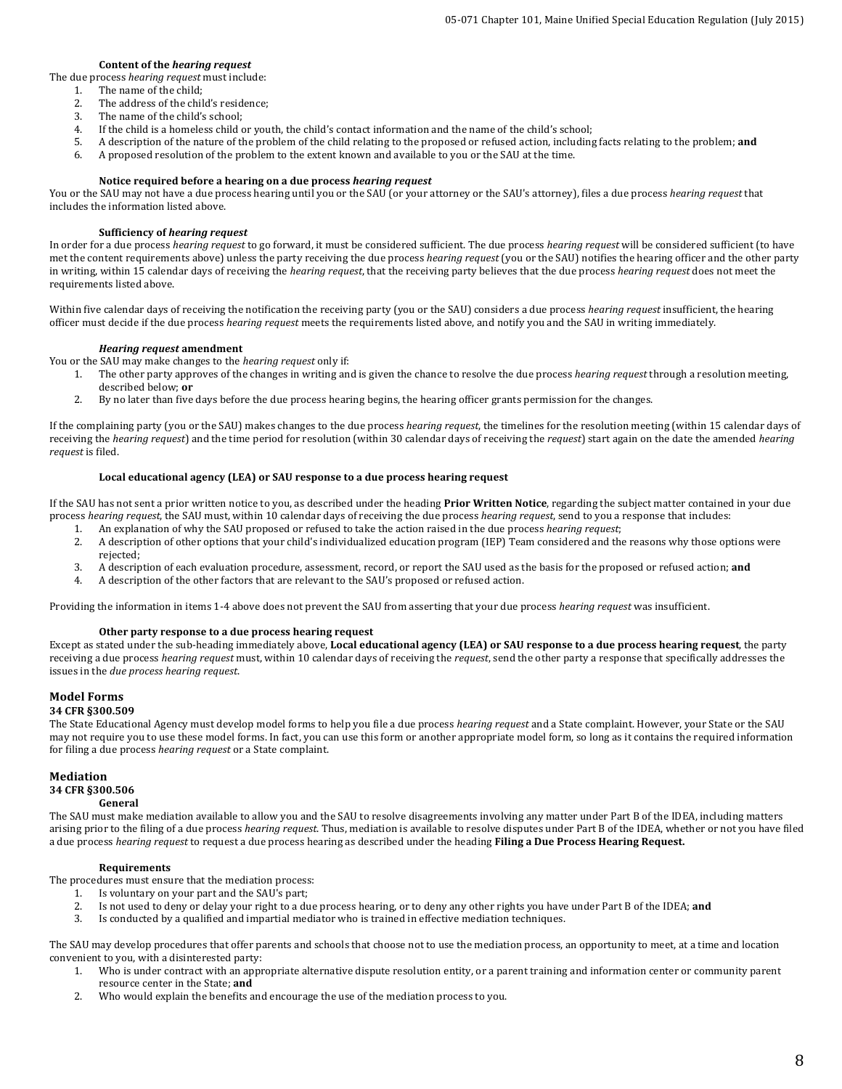#### **Content of the** *hearing request*

The due process *hearing request* must include:

- 1. The name of the child;
- 2. The address of the child's residence:
- 3. The name of the child's school;
- 4. If the child is a homeless child or youth, the child's contact information and the name of the child's school;
- 5. A description of the nature of the problem of the child relating to the proposed or refused action, including facts relating to the problem; **and**
- 6. A proposed resolution of the problem to the extent known and available to you or the SAU at the time.

### Notice required before a hearing on a due process *hearing request*

You or the SAU may not have a due process hearing until you or the SAU (or your attorney or the SAU's attorney), files a due process *hearing request* that includes the information listed above.

#### **Sufficiency of** *hearing request*

In order for a due process *hearing request* to go forward, it must be considered sufficient. The due process *hearing request* will be considered sufficient (to have met the content requirements above) unless the party receiving the due process *hearing request* (you or the SAU) notifies the hearing officer and the other party in writing, within 15 calendar days of receiving the *hearing request*, that the receiving party believes that the due process *hearing request* does not meet the requirements listed above.

Within five calendar days of receiving the notification the receiving party (you or the SAU) considers a due process *hearing request* insufficient, the hearing officer must decide if the due process *hearing request* meets the requirements listed above, and notify you and the SAU in writing immediately.

#### *Hearing request* **amendment**

You or the SAU may make changes to the *hearing request* only if:

1. The other party approves of the changes in writing and is given the chance to resolve the due process *hearing request* through a resolution meeting, described below: **or** 

2. By no later than five days before the due process hearing begins, the hearing officer grants permission for the changes.

If the complaining party (you or the SAU) makes changes to the due process *hearing request*, the timelines for the resolution meeting (within 15 calendar days of receiving the *hearing request*) and the time period for resolution (within 30 calendar days of receiving the *request*) start again on the date the amended *hearing* request is filed.

#### Local educational agency (LEA) or SAU response to a due process hearing request

If the SAU has not sent a prior written notice to you, as described under the heading **Prior Written Notice**, regarding the subject matter contained in your due process *hearing request*, the SAU must, within 10 calendar days of receiving the due process *hearing request*, send to you a response that includes:

- 1. An explanation of why the SAU proposed or refused to take the action raised in the due process *hearing request*;
- 2. A description of other options that your child's individualized education program (IEP) Team considered and the reasons why those options were rejected;
- 3. A description of each evaluation procedure, assessment, record, or report the SAU used as the basis for the proposed or refused action; **and**
- 4. A description of the other factors that are relevant to the SAU's proposed or refused action.

Providing the information in items 1-4 above does not prevent the SAU from asserting that your due process *hearing request* was insufficient.

### Other party response to a due process hearing request

Except as stated under the sub-heading immediately above, **Local educational agency (LEA) or SAU response to a due process hearing request**, the party receiving a due process *hearing request* must, within 10 calendar days of receiving the *request*, send the other party a response that specifically addresses the issues in the *due process hearing request*.

## **Model Forms**

# **34 CFR §300.509**

The State Educational Agency must develop model forms to help you file a due process *hearing request* and a State complaint. However, your State or the SAU may not require you to use these model forms. In fact, you can use this form or another appropriate model form, so long as it contains the required information for filing a due process *hearing request* or a State complaint.

# **Mediation**

# **34 CFR §300.506**

**General**

The SAU must make mediation available to allow you and the SAU to resolve disagreements involving any matter under Part B of the IDEA, including matters arising prior to the filing of a due process *hearing request*. Thus, mediation is available to resolve disputes under Part B of the IDEA, whether or not you have filed a due process *hearing request* to request a due process hearing as described under the heading **Filing a Due Process Hearing Request.** 

### **Requirements**

The procedures must ensure that the mediation process:

- 1. Is voluntary on your part and the SAU's part;
- 2. Is not used to deny or delay your right to a due process hearing, or to deny any other rights you have under Part B of the IDEA; and
- 3. Is conducted by a qualified and impartial mediator who is trained in effective mediation techniques.

The SAU may develop procedures that offer parents and schools that choose not to use the mediation process, an opportunity to meet, at a time and location convenient to you, with a disinterested party:

- 1. Who is under contract with an appropriate alternative dispute resolution entity, or a parent training and information center or community parent resource center in the State; and
- 2. Who would explain the benefits and encourage the use of the mediation process to you.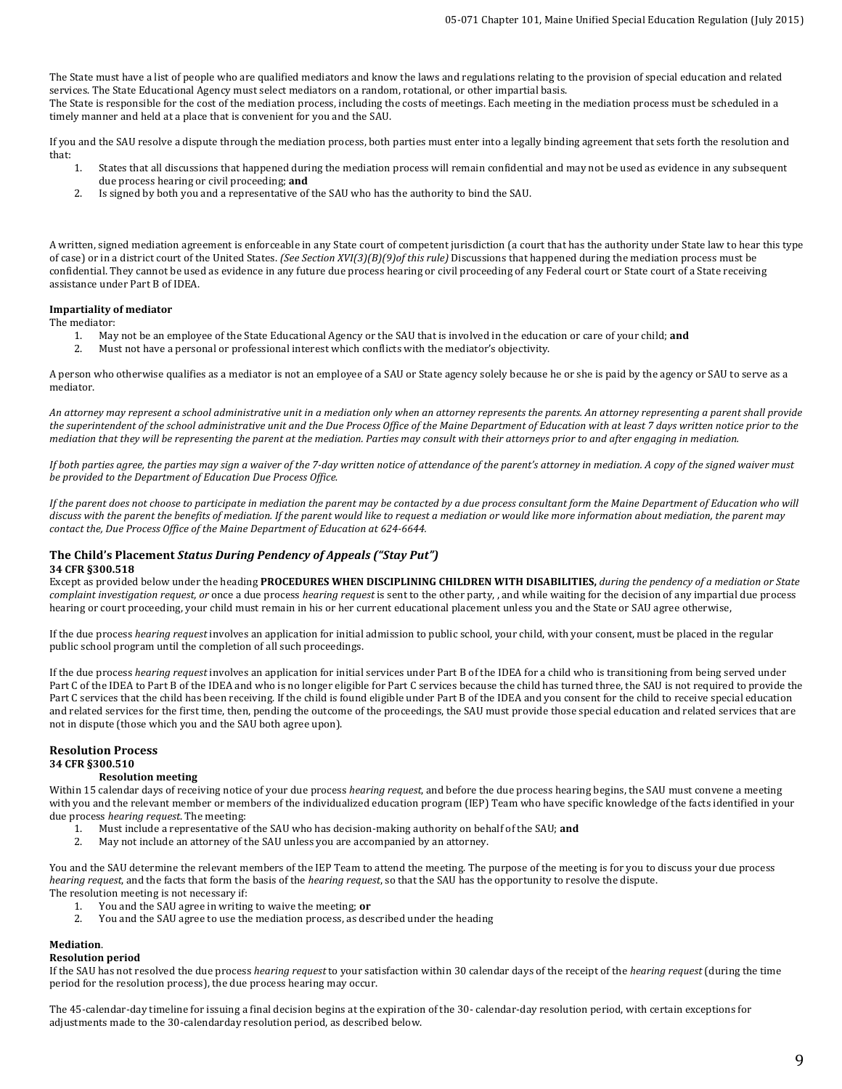The State must have a list of people who are qualified mediators and know the laws and regulations relating to the provision of special education and related services. The State Educational Agency must select mediators on a random, rotational, or other impartial basis.

The State is responsible for the cost of the mediation process, including the costs of meetings. Each meeting in the mediation process must be scheduled in a timely manner and held at a place that is convenient for you and the SAU.

If you and the SAU resolve a dispute through the mediation process, both parties must enter into a legally binding agreement that sets forth the resolution and that:

- 1. States that all discussions that happened during the mediation process will remain confidential and may not be used as evidence in any subsequent due process hearing or civil proceeding; and
- 2. Is signed by both you and a representative of the SAU who has the authority to bind the SAU.

A written, signed mediation agreement is enforceable in any State court of competent jurisdiction (a court that has the authority under State law to hear this type of case) or in a district court of the United States. (See Section XVI(3)(B)(9)of this rule) Discussions that happened during the mediation process must be confidential. They cannot be used as evidence in any future due process hearing or civil proceeding of any Federal court or State court of a State receiving assistance under Part B of IDEA.

# **Impartiality of mediator**

The mediator:

- 1. May not be an employee of the State Educational Agency or the SAU that is involved in the education or care of your child; **and**
- 2. Must not have a personal or professional interest which conflicts with the mediator's objectivity.

A person who otherwise qualifies as a mediator is not an employee of a SAU or State agency solely because he or she is paid by the agency or SAU to serve as a mediator.

An attorney may represent a school administrative unit in a mediation only when an attorney represents the parents. An attorney representing a parent shall provide the superintendent of the school administrative unit and the Due Process Office of the Maine Department of Education with at least 7 days written notice prior to the *mediation that they will be representing the parent at the mediation. Parties may consult with their attorneys prior to and after engaging in mediation.*

If both parties agree, the parties may sign a waiver of the 7-day written notice of attendance of the parent's attorney in mediation. A copy of the signed waiver must *be provided to the Department of Education Due Process Office.* 

If the parent does not choose to participate in mediation the parent may be contacted by a due process consultant form the Maine Department of Education who will discuss with the parent the benefits of mediation. If the parent would like to request a mediation or would like more information about mediation, the parent may *contact the, Due Process Office of the Maine Department of Education at 624-6644.* 

## **The Child's Placement Status During Pendency of Appeals ("Stay Put")**

### **34 CFR §300.518**

Except as provided below under the heading **PROCEDURES WHEN DISCIPLINING CHILDREN WITH DISABILITIES**, *during the pendency of a mediation or State complaint investigation request, or* once a due process *hearing request* is sent to the other party, , and while waiting for the decision of any impartial due process hearing or court proceeding, your child must remain in his or her current educational placement unless you and the State or SAU agree otherwise,

If the due process *hearing request* involves an application for initial admission to public school, your child, with your consent, must be placed in the regular public school program until the completion of all such proceedings.

If the due process *hearing request* involves an application for initial services under Part B of the IDEA for a child who is transitioning from being served under Part C of the IDEA to Part B of the IDEA and who is no longer eligible for Part C services because the child has turned three, the SAU is not required to provide the Part C services that the child has been receiving. If the child is found eligible under Part B of the IDEA and you consent for the child to receive special education and related services for the first time, then, pending the outcome of the proceedings, the SAU must provide those special education and related services that are not in dispute (those which you and the SAU both agree upon).

# **Resolution Process 34 CFR §300.510**

# **Resolution meeting**

Within 15 calendar days of receiving notice of your due process hearing request, and before the due process hearing begins, the SAU must convene a meeting with you and the relevant member or members of the individualized education program (IEP) Team who have specific knowledge of the facts identified in your due process *hearing request*. The meeting:

- 1. Must include a representative of the SAU who has decision-making authority on behalf of the SAU; and
- 2. May not include an attorney of the SAU unless you are accompanied by an attorney.

You and the SAU determine the relevant members of the IEP Team to attend the meeting. The purpose of the meeting is for you to discuss your due process *hearing request*, and the facts that form the basis of the *hearing request*, so that the SAU has the opportunity to resolve the dispute. The resolution meeting is not necessary if:

- 1. You and the SAU agree in writing to waive the meeting; or
	- 2. You and the SAU agree to use the mediation process, as described under the heading

# **Mediation**.

# **Resolution period**

If the SAU has not resolved the due process *hearing request* to your satisfaction within 30 calendar days of the receipt of the *hearing request* (during the time period for the resolution process), the due process hearing may occur.

The 45-calendar-day timeline for issuing a final decision begins at the expiration of the 30-calendar-day resolution period, with certain exceptions for adjustments made to the 30-calendarday resolution period, as described below.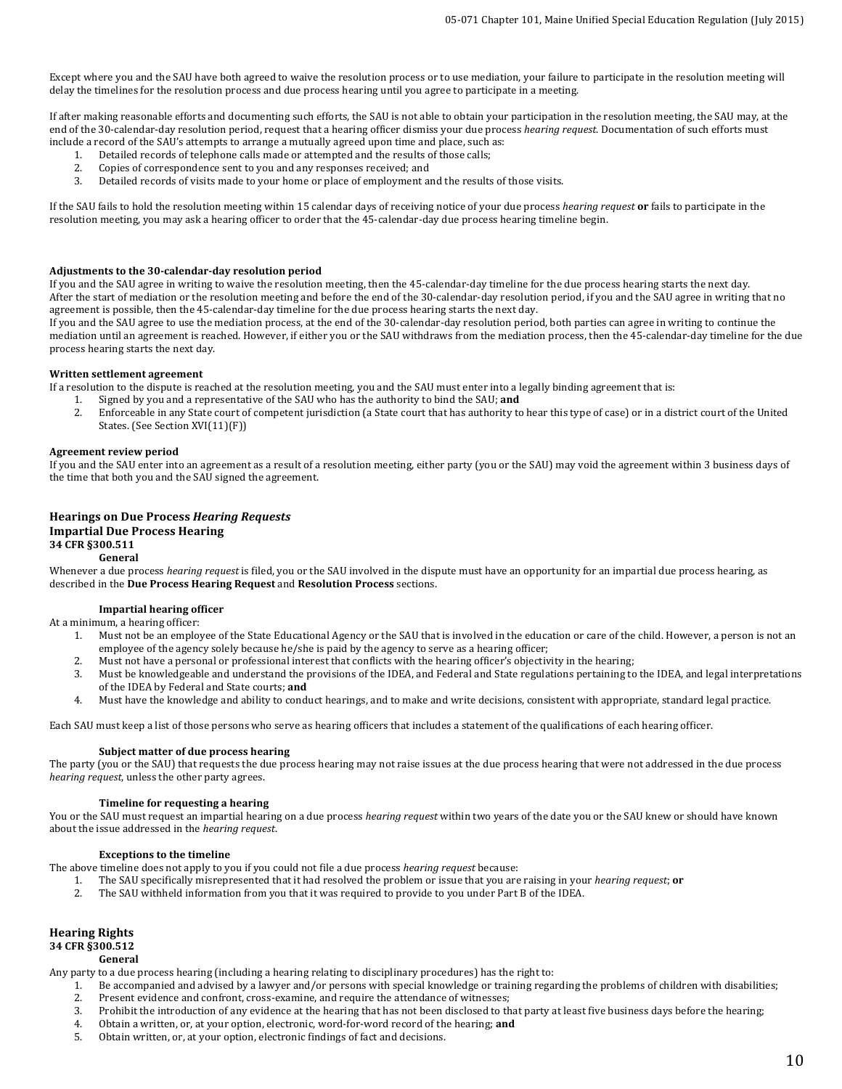Except where you and the SAU have both agreed to waive the resolution process or to use mediation, your failure to participate in the resolution meeting will delay the timelines for the resolution process and due process hearing until you agree to participate in a meeting.

If after making reasonable efforts and documenting such efforts, the SAU is not able to obtain your participation in the resolution meeting, the SAU may, at the end of the 30-calendar-day resolution period, request that a hearing officer dismiss your due process *hearing request*. Documentation of such efforts must include a record of the SAU's attempts to arrange a mutually agreed upon time and place, such as:

- 1. Detailed records of telephone calls made or attempted and the results of those calls;
- 2. Copies of correspondence sent to you and any responses received; and
- 3. Detailed records of visits made to your home or place of employment and the results of those visits.

If the SAU fails to hold the resolution meeting within 15 calendar days of receiving notice of your due process *hearing request* or fails to participate in the resolution meeting, you may ask a hearing officer to order that the 45-calendar-day due process hearing timeline begin.

### Adjustments to the 30-calendar-day resolution period

If you and the SAU agree in writing to waive the resolution meeting, then the 45-calendar-day timeline for the due process hearing starts the next day. After the start of mediation or the resolution meeting and before the end of the 30-calendar-day resolution period, if you and the SAU agree in writing that no agreement is possible, then the 45-calendar-day timeline for the due process hearing starts the next day.

If you and the SAU agree to use the mediation process, at the end of the 30-calendar-day resolution period, both parties can agree in writing to continue the mediation until an agreement is reached. However, if either you or the SAU withdraws from the mediation process, then the 45-calendar-day timeline for the due process hearing starts the next day.

### **Written settlement agreement**

If a resolution to the dispute is reached at the resolution meeting, you and the SAU must enter into a legally binding agreement that is:

- 1. Signed by you and a representative of the SAU who has the authority to bind the SAU; **and** 
	- 2. Enforceable in any State court of competent jurisdiction (a State court that has authority to hear this type of case) or in a district court of the United States. (See Section XVI(11)(F))

# **Agreement review period**

If you and the SAU enter into an agreement as a result of a resolution meeting, either party (you or the SAU) may void the agreement within 3 business days of the time that both you and the SAU signed the agreement.

# **Hearings on Due Process** *Hearing Requests*

### **Impartial Due Process Hearing 34 CFR §300.511**

# **General**

Whenever a due process *hearing request* is filed, you or the SAU involved in the dispute must have an opportunity for an impartial due process hearing, as described in the Due Process Hearing Request and Resolution Process sections.

### **Impartial hearing officer**

At a minimum, a hearing officer:

- 1. Must not be an employee of the State Educational Agency or the SAU that is involved in the education or care of the child. However, a person is not an employee of the agency solely because he/she is paid by the agency to serve as a hearing officer;
- 2. Must not have a personal or professional interest that conflicts with the hearing officer's objectivity in the hearing;
- 3. Must be knowledgeable and understand the provisions of the IDEA, and Federal and State regulations pertaining to the IDEA, and legal interpretations of the IDEA by Federal and State courts: **and**
- 4. Must have the knowledge and ability to conduct hearings, and to make and write decisions, consistent with appropriate, standard legal practice.

Each SAU must keep a list of those persons who serve as hearing officers that includes a statement of the qualifications of each hearing officer.

## **Subject matter of due process hearing**

The party (you or the SAU) that requests the due process hearing may not raise issues at the due process hearing that were not addressed in the due process *hearing request*, unless the other party agrees.

### **Timeline for requesting a hearing**

You or the SAU must request an impartial hearing on a due process *hearing request* within two years of the date you or the SAU knew or should have known about the issue addressed in the *hearing request*.

### **Exceptions to the timeline**

The above timeline does not apply to you if you could not file a due process *hearing request* because:

- 1. The SAU specifically misrepresented that it had resolved the problem or issue that you are raising in your *hearing request*; **or**
- 2. The SAU withheld information from you that it was required to provide to you under Part B of the IDEA.

# **Hearing Rights 34 CFR §300.512**

## **General**

Any party to a due process hearing (including a hearing relating to disciplinary procedures) has the right to:

- 1. Be accompanied and advised by a lawyer and/or persons with special knowledge or training regarding the problems of children with disabilities; 2. Present evidence and confront, cross-examine, and require the attendance of witnesses;
- 3. Prohibit the introduction of any evidence at the hearing that has not been disclosed to that party at least five business days before the hearing;
- 4. Obtain a written, or, at your option, electronic, word-for-word record of the hearing; **and**
- 5. Obtain written, or, at your option, electronic findings of fact and decisions.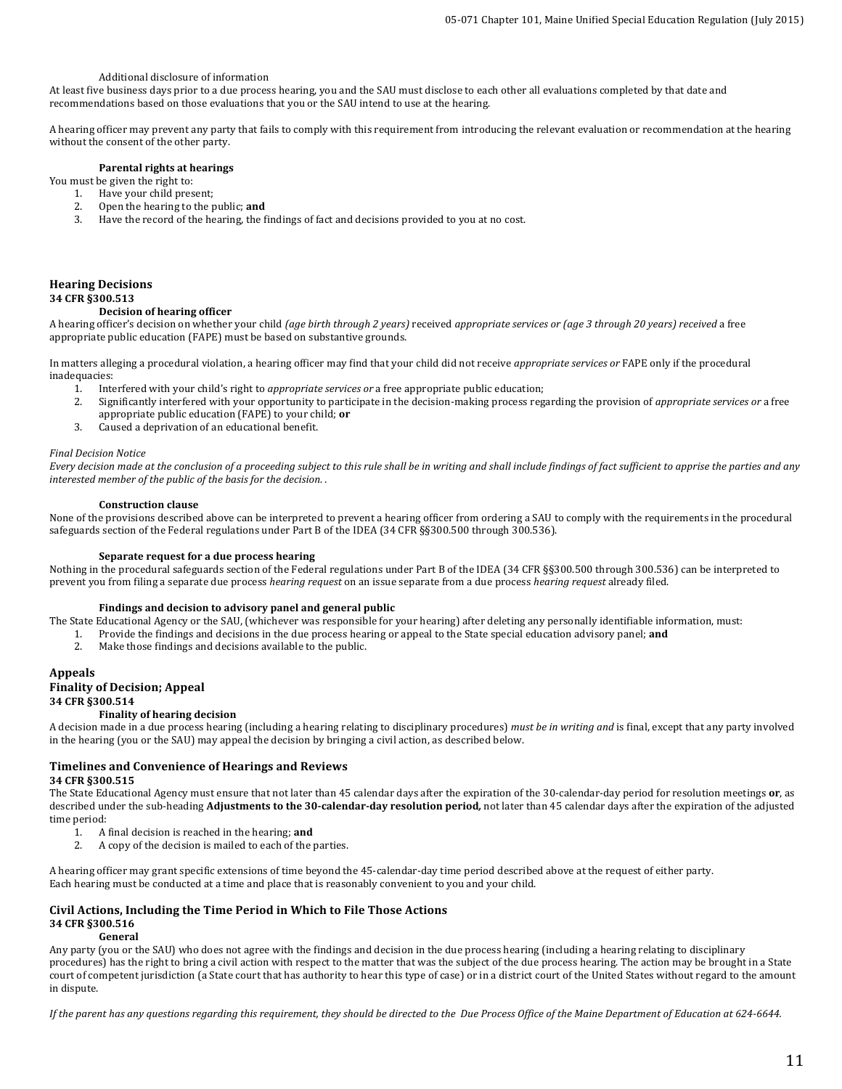#### Additional disclosure of information

At least five business days prior to a due process hearing, you and the SAU must disclose to each other all evaluations completed by that date and recommendations based on those evaluations that you or the SAU intend to use at the hearing.

A hearing officer may prevent any party that fails to comply with this requirement from introducing the relevant evaluation or recommendation at the hearing without the consent of the other party.

# **Parental rights at hearings**

You must be given the right to:

- 1. Have your child present;
	- 2. Open the hearing to the public; **and**<br>3. Have the record of the hearing, the f
	- Have the record of the hearing, the findings of fact and decisions provided to you at no cost.

### **Hearing Decisions 34 CFR §300.513**

#### **Decision of hearing officer**

A hearing officer's decision on whether your child *(age birth through 2 years)* received *appropriate services or (age 3 through 20 years) received* a free appropriate public education (FAPE) must be based on substantive grounds.

In matters alleging a procedural violation, a hearing officer may find that your child did not receive appropriate services or FAPE only if the procedural inadequacies:

- 1. Interfered with your child's right to *appropriate services or* a free appropriate public education;
- 2. Significantly interfered with your opportunity to participate in the decision-making process regarding the provision of appropriate services or a free appropriate public education (FAPE) to your child; or
- 3. Caused a deprivation of an educational benefit.

### *Final Decision Notice*

*Every* decision made at the conclusion of a proceeding subject to this rule shall be in writing and shall include findings of fact sufficient to apprise the parties and any interested member of the public of the basis for the decision.

### **Construction clause**

None of the provisions described above can be interpreted to prevent a hearing officer from ordering a SAU to comply with the requirements in the procedural safeguards section of the Federal regulations under Part B of the IDEA (34 CFR §§300.500 through 300.536).

### **Separate request for a due process hearing**

Nothing in the procedural safeguards section of the Federal regulations under Part B of the IDEA (34 CFR §§300.500 through 300.536) can be interpreted to prevent you from filing a separate due process *hearing request* on an issue separate from a due process *hearing request* already filed.

### Findings and decision to advisory panel and general public

The State Educational Agency or the SAU, (whichever was responsible for your hearing) after deleting any personally identifiable information, must:

- 1. Provide the findings and decisions in the due process hearing or appeal to the State special education advisory panel; **and**
- 2. Make those findings and decisions available to the public.

### **Appeals**

### **Finality of Decision; Appeal**

# **34 CFR §300.514**

### **Finality of hearing decision**

A decision made in a due process hearing (including a hearing relating to disciplinary procedures) *must be in writing and* is final, except that any party involved in the hearing (you or the SAU) may appeal the decision by bringing a civil action, as described below.

# **Timelines and Convenience of Hearings and Reviews**

### **34 CFR §300.515**

The State Educational Agency must ensure that not later than 45 calendar days after the expiration of the 30-calendar-day period for resolution meetings or, as described under the sub-heading **Adjustments to the 30-calendar-day resolution period**, not later than 45 calendar days after the expiration of the adjusted time period:

- 1. A final decision is reached in the hearing; and
- 2. A copy of the decision is mailed to each of the parties.

A hearing officer may grant specific extensions of time beyond the 45-calendar-day time period described above at the request of either party. Each hearing must be conducted at a time and place that is reasonably convenient to you and your child.

## **Civil Actions, Including the Time Period in Which to File Those Actions**

# **34 CFR §300.516**

# **General**

Any party (you or the SAU) who does not agree with the findings and decision in the due process hearing (including a hearing relating to disciplinary procedures) has the right to bring a civil action with respect to the matter that was the subject of the due process hearing. The action may be brought in a State court of competent jurisdiction (a State court that has authority to hear this type of case) or in a district court of the United States without regard to the amount in dispute.

If the parent has any questions regarding this requirement, they should be directed to the Due Process Office of the Maine Department of Education at 624-6644.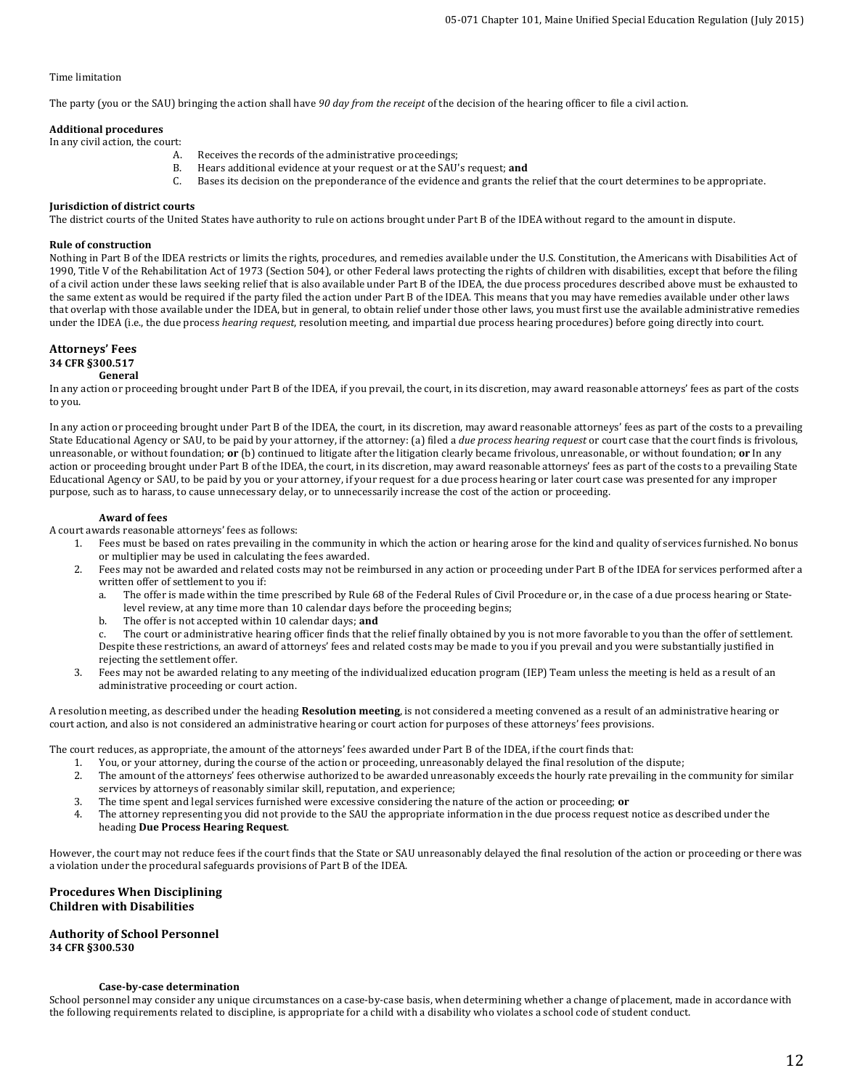### Time limitation

The party (you or the SAU) bringing the action shall have 90 day from the receipt of the decision of the hearing officer to file a civil action.

#### **Additional procedures**

In any civil action, the court:

- A. Receives the records of the administrative proceedings;
- B. Hears additional evidence at your request or at the SAU's request; **and**
- C. Bases its decision on the preponderance of the evidence and grants the relief that the court determines to be appropriate.

#### **Jurisdiction of district courts**

The district courts of the United States have authority to rule on actions brought under Part B of the IDEA without regard to the amount in dispute.

#### **Rule of construction**

Nothing in Part B of the IDEA restricts or limits the rights, procedures, and remedies available under the U.S. Constitution, the Americans with Disabilities Act of 1990, Title V of the Rehabilitation Act of 1973 (Section 504), or other Federal laws protecting the rights of children with disabilities, except that before the filing of a civil action under these laws seeking relief that is also available under Part B of the IDEA, the due process procedures described above must be exhausted to the same extent as would be required if the party filed the action under Part B of the IDEA. This means that you may have remedies available under other laws that overlap with those available under the IDEA, but in general, to obtain relief under those other laws, you must first use the available administrative remedies under the IDEA (i.e., the due process *hearing request*, resolution meeting, and impartial due process hearing procedures) before going directly into court.

# **Attorneys' Fees 34 CFR §300.517**

# **General**

In any action or proceeding brought under Part B of the IDEA, if you prevail, the court, in its discretion, may award reasonable attorneys' fees as part of the costs to you.

In any action or proceeding brought under Part B of the IDEA, the court, in its discretion, may award reasonable attorneys' fees as part of the costs to a prevailing State Educational Agency or SAU, to be paid by your attorney, if the attorney: (a) filed a *due process hearing request* or court case that the court finds is frivolous, unreasonable, or without foundation; or (b) continued to litigate after the litigation clearly became frivolous, unreasonable, or without foundation; or In any action or proceeding brought under Part B of the IDEA, the court, in its discretion, may award reasonable attorneys' fees as part of the costs to a prevailing State Educational Agency or SAU, to be paid by you or your attorney, if your request for a due process hearing or later court case was presented for any improper purpose, such as to harass, to cause unnecessary delay, or to unnecessarily increase the cost of the action or proceeding.

### **Award of fees**

A court awards reasonable attorneys' fees as follows:

- 1. Fees must be based on rates prevailing in the community in which the action or hearing arose for the kind and quality of services furnished. No bonus or multiplier may be used in calculating the fees awarded.
- 2. Fees may not be awarded and related costs may not be reimbursed in any action or proceeding under Part B of the IDEA for services performed after a written offer of settlement to you if:
	- a. The offer is made within the time prescribed by Rule 68 of the Federal Rules of Civil Procedure or, in the case of a due process hearing or Statelevel review, at any time more than 10 calendar days before the proceeding begins;
	- b. The offer is not accepted within 10 calendar days; and

c. The court or administrative hearing officer finds that the relief finally obtained by you is not more favorable to you than the offer of settlement. Despite these restrictions, an award of attorneys' fees and related costs may be made to you if you prevail and you were substantially justified in rejecting the settlement offer.

3. Fees may not be awarded relating to any meeting of the individualized education program (IEP) Team unless the meeting is held as a result of an administrative proceeding or court action.

A resolution meeting, as described under the heading Resolution meeting, is not considered a meeting convened as a result of an administrative hearing or court action, and also is not considered an administrative hearing or court action for purposes of these attorneys' fees provisions.

The court reduces, as appropriate, the amount of the attorneys' fees awarded under Part B of the IDEA, if the court finds that:

- 1. You, or your attorney, during the course of the action or proceeding, unreasonably delayed the final resolution of the dispute;
- 2. The amount of the attorneys' fees otherwise authorized to be awarded unreasonably exceeds the hourly rate prevailing in the community for similar services by attorneys of reasonably similar skill, reputation, and experience;
- 3. The time spent and legal services furnished were excessive considering the nature of the action or proceeding; or
- 4. The attorney representing you did not provide to the SAU the appropriate information in the due process request notice as described under the heading **Due Process Hearing Request**.

However, the court may not reduce fees if the court finds that the State or SAU unreasonably delayed the final resolution of the action or proceeding or there was a violation under the procedural safeguards provisions of Part B of the IDEA.

## **Procedures When Disciplining Children with Disabilities**

### **Authority of School Personnel 34 CFR §300.530**

### **Case-by-case determination**

School personnel may consider any unique circumstances on a case-by-case basis, when determining whether a change of placement, made in accordance with the following requirements related to discipline, is appropriate for a child with a disability who violates a school code of student conduct.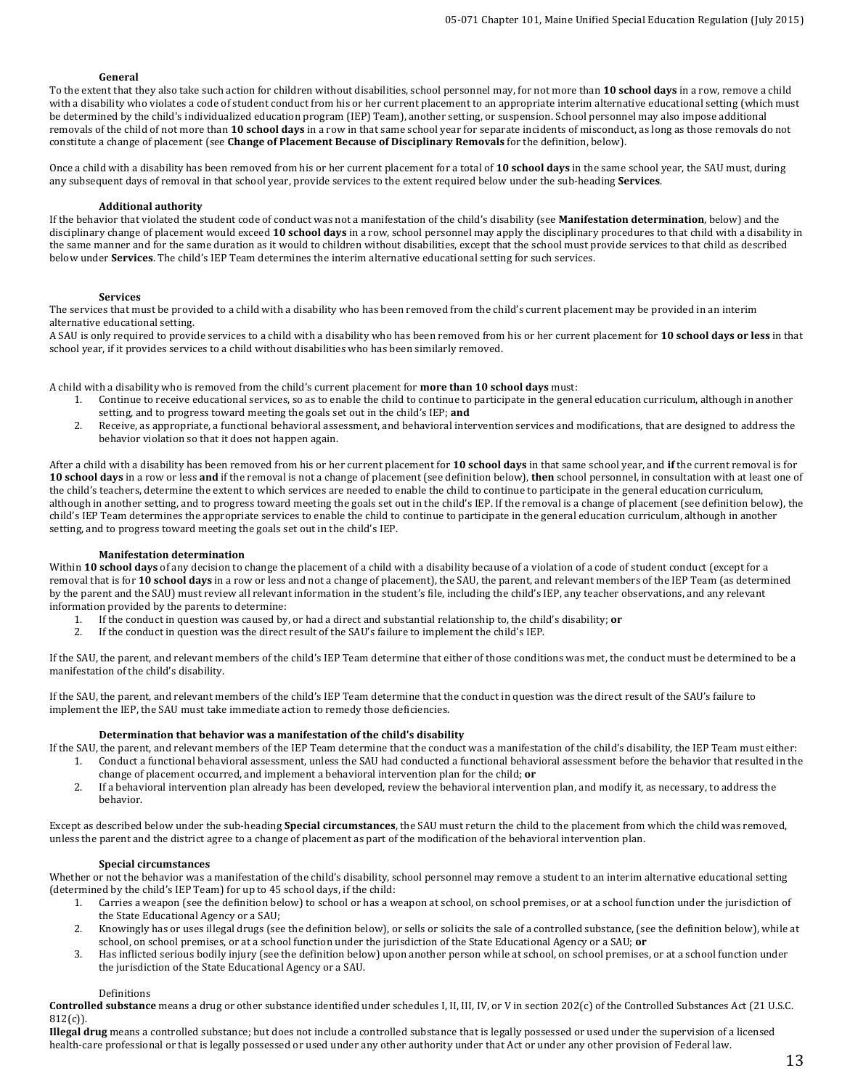### **General**

To the extent that they also take such action for children without disabilities, school personnel may, for not more than 10 school days in a row, remove a child with a disability who violates a code of student conduct from his or her current placement to an appropriate interim alternative educational setting (which must be determined by the child's individualized education program (IEP) Team), another setting, or suspension. School personnel may also impose additional removals of the child of not more than 10 school days in a row in that same school year for separate incidents of misconduct, as long as those removals do not constitute a change of placement (see **Change of Placement Because of Disciplinary Removals** for the definition, below).

Once a child with a disability has been removed from his or her current placement for a total of **10 school days** in the same school year, the SAU must, during any subsequent days of removal in that school year, provide services to the extent required below under the sub-heading **Services**.

### **Additional authority**

If the behavior that violated the student code of conduct was not a manifestation of the child's disability (see **Manifestation determination**, below) and the disciplinary change of placement would exceed 10 school days in a row, school personnel may apply the disciplinary procedures to that child with a disability in the same manner and for the same duration as it would to children without disabilities, except that the school must provide services to that child as described below under **Services**. The child's IEP Team determines the interim alternative educational setting for such services.

#### **Services**

The services that must be provided to a child with a disability who has been removed from the child's current placement may be provided in an interim alternative educational setting.

A SAU is only required to provide services to a child with a disability who has been removed from his or her current placement for 10 school days or less in that school year, if it provides services to a child without disabilities who has been similarly removed.

A child with a disability who is removed from the child's current placement for more than 10 school days must:

- 1. Continue to receive educational services, so as to enable the child to continue to participate in the general education curriculum, although in another setting, and to progress toward meeting the goals set out in the child's IEP; and
- 2. Receive, as appropriate, a functional behavioral assessment, and behavioral intervention services and modifications, that are designed to address the behavior violation so that it does not happen again.

After a child with a disability has been removed from his or her current placement for 10 school days in that same school year, and if the current removal is for 10 school days in a row or less and if the removal is not a change of placement (see definition below), then school personnel, in consultation with at least one of the child's teachers, determine the extent to which services are needed to enable the child to continue to participate in the general education curriculum, although in another setting, and to progress toward meeting the goals set out in the child's IEP. If the removal is a change of placement (see definition below), the child's IEP Team determines the appropriate services to enable the child to continue to participate in the general education curriculum, although in another setting, and to progress toward meeting the goals set out in the child's IEP.

### **Manifestation determination**

Within 10 school days of any decision to change the placement of a child with a disability because of a violation of a code of student conduct (except for a removal that is for 10 school days in a row or less and not a change of placement), the SAU, the parent, and relevant members of the IEP Team (as determined by the parent and the SAU) must review all relevant information in the student's file, including the child's IEP, any teacher observations, and any relevant information provided by the parents to determine:

- 1. If the conduct in question was caused by, or had a direct and substantial relationship to, the child's disability; or
- 2. If the conduct in question was the direct result of the SAU's failure to implement the child's IEP.

If the SAU, the parent, and relevant members of the child's IEP Team determine that either of those conditions was met, the conduct must be determined to be a manifestation of the child's disability.

If the SAU, the parent, and relevant members of the child's IEP Team determine that the conduct in question was the direct result of the SAU's failure to implement the IEP, the SAU must take immediate action to remedy those deficiencies.

### Determination that behavior was a manifestation of the child's disability

If the SAU, the parent, and relevant members of the IEP Team determine that the conduct was a manifestation of the child's disability, the IEP Team must either: 1. Conduct a functional behavioral assessment, unless the SAU had conducted a functional behavioral assessment before the behavior that resulted in the

- change of placement occurred, and implement a behavioral intervention plan for the child; or
- 2. If a behavioral intervention plan already has been developed, review the behavioral intervention plan, and modify it, as necessary, to address the behavior.

Except as described below under the sub-heading Special circumstances, the SAU must return the child to the placement from which the child was removed, unless the parent and the district agree to a change of placement as part of the modification of the behavioral intervention plan.

### **Special circumstances**

Whether or not the behavior was a manifestation of the child's disability, school personnel may remove a student to an interim alternative educational setting (determined by the child's IEP Team) for up to 45 school days, if the child:

- 1. Carries a weapon (see the definition below) to school or has a weapon at school, on school premises, or at a school function under the jurisdiction of the State Educational Agency or a SAU;
- 2. Knowingly has or uses illegal drugs (see the definition below), or sells or solicits the sale of a controlled substance, (see the definition below), while at school, on school premises, or at a school function under the jurisdiction of the State Educational Agency or a SAU; or
- 3. Has inflicted serious bodily injury (see the definition below) upon another person while at school, on school premises, or at a school function under the jurisdiction of the State Educational Agency or a SAU.

### Definitions

**Controlled substance** means a drug or other substance identified under schedules I, II, III, IV, or V in section 202(c) of the Controlled Substances Act (21 U.S.C. 812(c)).

**Illegal drug** means a controlled substance; but does not include a controlled substance that is legally possessed or used under the supervision of a licensed health-care professional or that is legally possessed or used under any other authority under that Act or under any other provision of Federal law.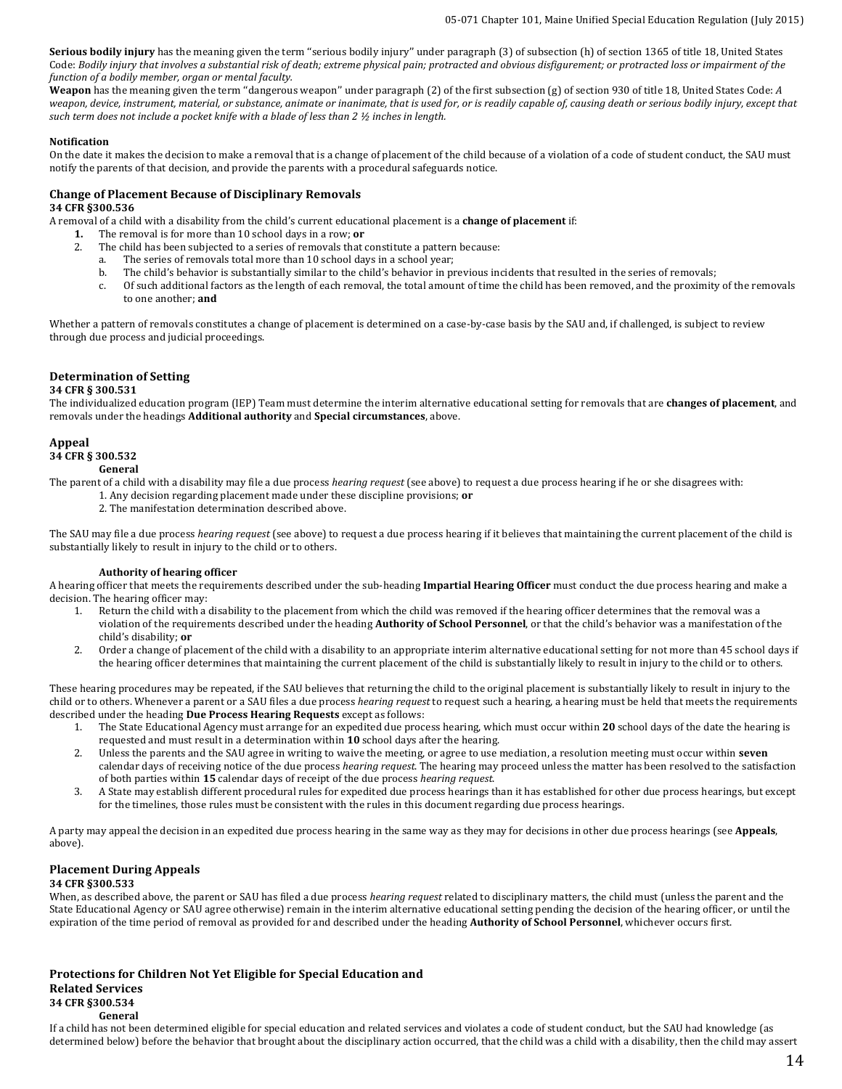Serious bodily injury has the meaning given the term "serious bodily injury" under paragraph (3) of subsection (h) of section 1365 of title 18, United States Code: Bodily injury that involves a substantial risk of death; extreme physical pain; protracted and obvious disfigurement; or protracted loss or impairment of the *function of a bodily member, organ or mental faculty.*

Weapon has the meaning given the term "dangerous weapon" under paragraph (2) of the first subsection (g) of section 930 of title 18, United States Code: *A* weapon, device, instrument, material, or substance, animate or inanimate, that is used for, or is readily capable of, causing death or serious bodily injury, except that *such term does not include a pocket knife with a blade of less than 2 ½ inches in length.* 

### **Notification**

On the date it makes the decision to make a removal that is a change of placement of the child because of a violation of a code of student conduct, the SAU must notify the parents of that decision, and provide the parents with a procedural safeguards notice.

# **Change of Placement Because of Disciplinary Removals**

# **34 CFR §300.536**

A removal of a child with a disability from the child's current educational placement is a **change of placement** if:

- **1.** The removal is for more than 10 school days in a row; or
- 2. The child has been subjected to a series of removals that constitute a pattern because:
	- a. The series of removals total more than 10 school days in a school year;
	- b. The child's behavior is substantially similar to the child's behavior in previous incidents that resulted in the series of removals;
	- c. Of such additional factors as the length of each removal, the total amount of time the child has been removed, and the proximity of the removals to one another; **and**

Whether a pattern of removals constitutes a change of placement is determined on a case-by-case basis by the SAU and, if challenged, is subject to review through due process and judicial proceedings.

# **Determination of Setting**

### **34 CFR § 300.531**

The individualized education program (IEP) Team must determine the interim alternative educational setting for removals that are **changes of placement**, and removals under the headings **Additional authority** and **Special circumstances**, above.

## **Appeal**

# **34 CFR § 300.532**

### **General**

The parent of a child with a disability may file a due process *hearing request* (see above) to request a due process hearing if he or she disagrees with:

- 1. Any decision regarding placement made under these discipline provisions; **or**
	- 2. The manifestation determination described above.

The SAU may file a due process *hearing request* (see above) to request a due process hearing if it believes that maintaining the current placement of the child is substantially likely to result in injury to the child or to others.

### **Authority of hearing officer**

A hearing officer that meets the requirements described under the sub-heading **Impartial Hearing Officer** must conduct the due process hearing and make a decision. The hearing officer may:

- 1. Return the child with a disability to the placement from which the child was removed if the hearing officer determines that the removal was a violation of the requirements described under the heading **Authority of School Personnel**, or that the child's behavior was a manifestation of the child's disability; **or**
- 2. Order a change of placement of the child with a disability to an appropriate interim alternative educational setting for not more than 45 school days if the hearing officer determines that maintaining the current placement of the child is substantially likely to result in injury to the child or to others.

These hearing procedures may be repeated, if the SAU believes that returning the child to the original placement is substantially likely to result in injury to the child or to others. Whenever a parent or a SAU files a due process *hearing request* to request such a hearing, a hearing must be held that meets the requirements described under the heading **Due Process Hearing Requests** except as follows:

- 1. The State Educational Agency must arrange for an expedited due process hearing, which must occur within 20 school days of the date the hearing is requested and must result in a determination within 10 school days after the hearing.
- 2. Unless the parents and the SAU agree in writing to waive the meeting, or agree to use mediation, a resolution meeting must occur within **seven** calendar days of receiving notice of the due process *hearing request*. The hearing may proceed unless the matter has been resolved to the satisfaction of both parties within 15 calendar days of receipt of the due process *hearing request*.
- 3. A State may establish different procedural rules for expedited due process hearings than it has established for other due process hearings, but except for the timelines, those rules must be consistent with the rules in this document regarding due process hearings.

A party may appeal the decision in an expedited due process hearing in the same way as they may for decisions in other due process hearings (see Appeals, above).

# **Placement During Appeals**

# **34 CFR §300.533**

When, as described above, the parent or SAU has filed a due process *hearing request* related to disciplinary matters, the child must (unless the parent and the State Educational Agency or SAU agree otherwise) remain in the interim alternative educational setting pending the decision of the hearing officer, or until the expiration of the time period of removal as provided for and described under the heading **Authority of School Personnel**, whichever occurs first.

### Protections for Children Not Yet Eligible for Special Education and **Related Services**

# **34 CFR §300.534**

# **General**

If a child has not been determined eligible for special education and related services and violates a code of student conduct, but the SAU had knowledge (as determined below) before the behavior that brought about the disciplinary action occurred, that the child was a child with a disability, then the child may assert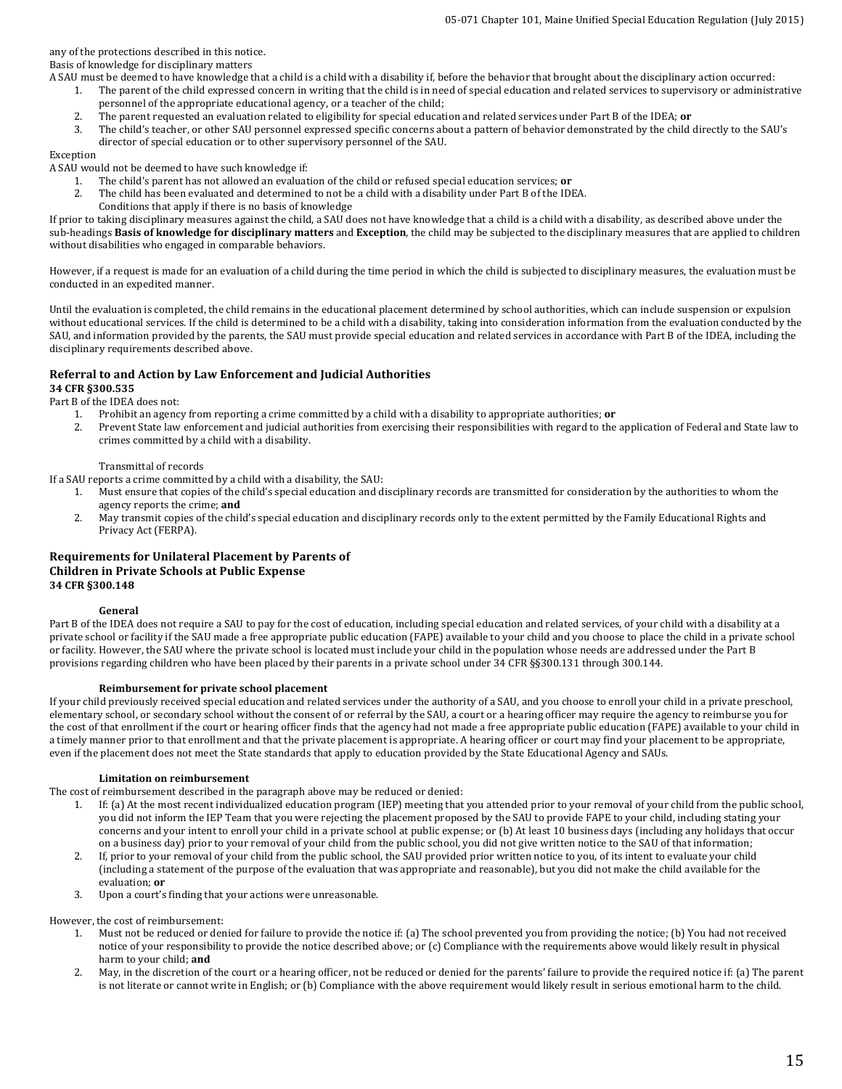any of the protections described in this notice. Basis of knowledge for disciplinary matters

- A SAU must be deemed to have knowledge that a child is a child with a disability if, before the behavior that brought about the disciplinary action occurred:
	- 1. The parent of the child expressed concern in writing that the child is in need of special education and related services to supervisory or administrative personnel of the appropriate educational agency, or a teacher of the child;
	- 2. The parent requested an evaluation related to eligibility for special education and related services under Part B of the IDEA; or
	- 3. The child's teacher, or other SAU personnel expressed specific concerns about a pattern of behavior demonstrated by the child directly to the SAU's director of special education or to other supervisory personnel of the SAU.

Exception

A SAU would not be deemed to have such knowledge if:

- 1. The child's parent has not allowed an evaluation of the child or refused special education services; **or**
- 2. The child has been evaluated and determined to not be a child with a disability under Part B of the IDEA.
- Conditions that apply if there is no basis of knowledge

If prior to taking disciplinary measures against the child, a SAU does not have knowledge that a child is a child with a disability, as described above under the sub-headings **Basis of knowledge for disciplinary matters** and **Exception**, the child may be subjected to the disciplinary measures that are applied to children without disabilities who engaged in comparable behaviors.

However, if a request is made for an evaluation of a child during the time period in which the child is subjected to disciplinary measures, the evaluation must be conducted in an expedited manner.

Until the evaluation is completed, the child remains in the educational placement determined by school authorities, which can include suspension or expulsion without educational services. If the child is determined to be a child with a disability, taking into consideration information from the evaluation conducted by the SAU, and information provided by the parents, the SAU must provide special education and related services in accordance with Part B of the IDEA, including the disciplinary requirements described above.

# **Referral to and Action by Law Enforcement and Judicial Authorities**

**34 CFR §300.535**

Part B of the IDEA does not:

- 1. Prohibit an agency from reporting a crime committed by a child with a disability to appropriate authorities; **or**
- 2. Prevent State law enforcement and judicial authorities from exercising their responsibilities with regard to the application of Federal and State law to crimes committed by a child with a disability.
	- Transmittal of records

If a SAU reports a crime committed by a child with a disability, the SAU:

- 1. Must ensure that copies of the child's special education and disciplinary records are transmitted for consideration by the authorities to whom the agency reports the crime; **and**
- 2. May transmit copies of the child's special education and disciplinary records only to the extent permitted by the Family Educational Rights and Privacy Act (FERPA).

# **Requirements for Unilateral Placement by Parents of Children in Private Schools at Public Expense 34 CFR §300.148**

## **General**

Part B of the IDEA does not require a SAU to pay for the cost of education, including special education and related services, of your child with a disability at a private school or facility if the SAU made a free appropriate public education (FAPE) available to your child and you choose to place the child in a private school or facility. However, the SAU where the private school is located must include your child in the population whose needs are addressed under the Part B provisions regarding children who have been placed by their parents in a private school under 34 CFR §§300.131 through 300.144.

## **Reimbursement for private school placement**

If your child previously received special education and related services under the authority of a SAU, and you choose to enroll your child in a private preschool, elementary school, or secondary school without the consent of or referral by the SAU, a court or a hearing officer may require the agency to reimburse you for the cost of that enrollment if the court or hearing officer finds that the agency had not made a free appropriate public education (FAPE) available to your child in a timely manner prior to that enrollment and that the private placement is appropriate. A hearing officer or court may find your placement to be appropriate, even if the placement does not meet the State standards that apply to education provided by the State Educational Agency and SAUs.

## **Limitation on reimbursement**

The cost of reimbursement described in the paragraph above may be reduced or denied:

- 1. If: (a) At the most recent individualized education program (IEP) meeting that you attended prior to your removal of your child from the public school, you did not inform the IEP Team that you were rejecting the placement proposed by the SAU to provide FAPE to your child, including stating your concerns and your intent to enroll your child in a private school at public expense; or (b) At least 10 business days (including any holidays that occur on a business day) prior to your removal of your child from the public school, you did not give written notice to the SAU of that information;
- 2. If, prior to your removal of your child from the public school, the SAU provided prior written notice to you, of its intent to evaluate your child (including a statement of the purpose of the evaluation that was appropriate and reasonable), but you did not make the child available for the evaluation; **or**
- 3. Upon a court's finding that your actions were unreasonable.

However, the cost of reimbursement:

- 1. Must not be reduced or denied for failure to provide the notice if: (a) The school prevented you from providing the notice; (b) You had not received notice of your responsibility to provide the notice described above; or (c) Compliance with the requirements above would likely result in physical harm to your child: **and**
- 2. May, in the discretion of the court or a hearing officer, not be reduced or denied for the parents' failure to provide the required notice if: (a) The parent is not literate or cannot write in English; or (b) Compliance with the above requirement would likely result in serious emotional harm to the child.